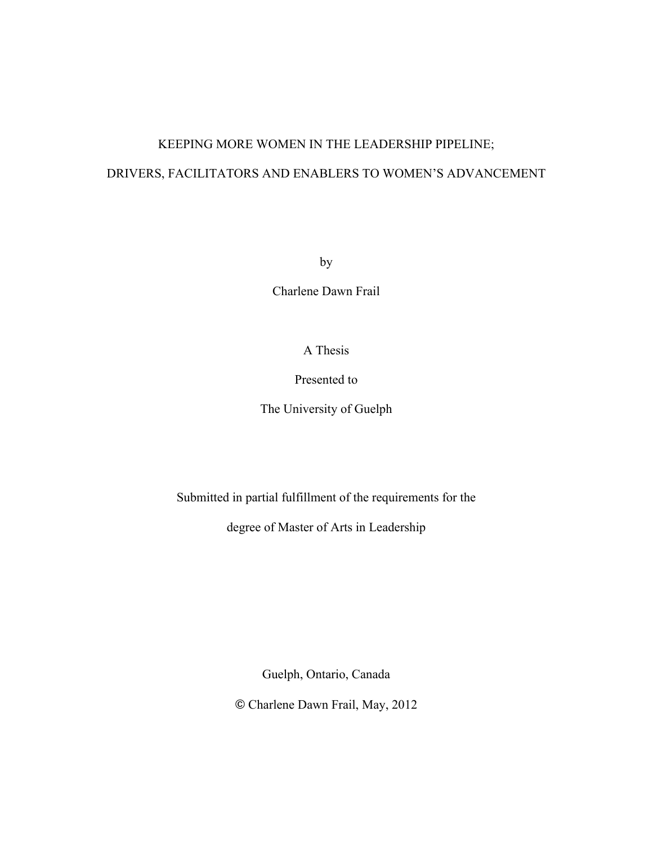# KEEPING MORE WOMEN IN THE LEADERSHIP PIPELINE; DRIVERS, FACILITATORS AND ENABLERS TO WOMEN'S ADVANCEMENT

by

Charlene Dawn Frail

### A Thesis

### Presented to

The University of Guelph

Submitted in partial fulfillment of the requirements for the

degree of Master of Arts in Leadership

Guelph, Ontario, Canada © Charlene Dawn Frail, May, 2012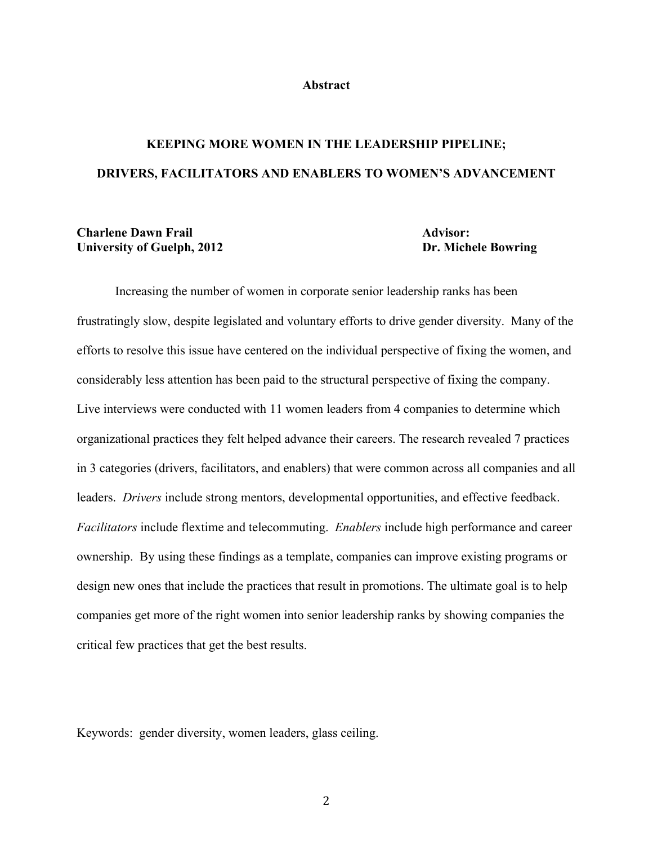#### **Abstract**

## **KEEPING MORE WOMEN IN THE LEADERSHIP PIPELINE; DRIVERS, FACILITATORS AND ENABLERS TO WOMEN'S ADVANCEMENT**

### **Charlene Dawn Frail Advisor: University of Guelph, 2012 Dr. Michele Bowring**

Increasing the number of women in corporate senior leadership ranks has been frustratingly slow, despite legislated and voluntary efforts to drive gender diversity. Many of the efforts to resolve this issue have centered on the individual perspective of fixing the women, and considerably less attention has been paid to the structural perspective of fixing the company. Live interviews were conducted with 11 women leaders from 4 companies to determine which organizational practices they felt helped advance their careers. The research revealed 7 practices in 3 categories (drivers, facilitators, and enablers) that were common across all companies and all leaders. *Drivers* include strong mentors, developmental opportunities, and effective feedback. *Facilitators* include flextime and telecommuting. *Enablers* include high performance and career ownership. By using these findings as a template, companies can improve existing programs or design new ones that include the practices that result in promotions. The ultimate goal is to help companies get more of the right women into senior leadership ranks by showing companies the critical few practices that get the best results.

Keywords: gender diversity, women leaders, glass ceiling.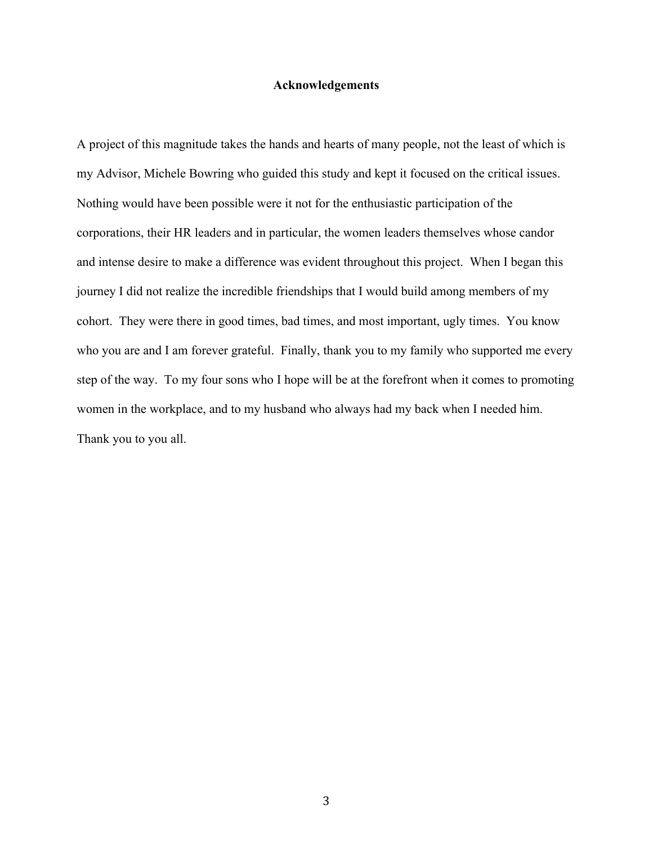#### **Acknowledgements**

A project of this magnitude takes the hands and hearts of many people, not the least of which is my Advisor, Michele Bowring who guided this study and kept it focused on the critical issues. Nothing would have been possible were it not for the enthusiastic participation of the corporations, their HR leaders and in particular, the women leaders themselves whose candor and intense desire to make a difference was evident throughout this project. When I began this journey I did not realize the incredible friendships that I would build among members of my cohort. They were there in good times, bad times, and most important, ugly times. You know who you are and I am forever grateful. Finally, thank you to my family who supported me every step of the way. To my four sons who I hope will be at the forefront when it comes to promoting women in the workplace, and to my husband who always had my back when I needed him. Thank you to you all.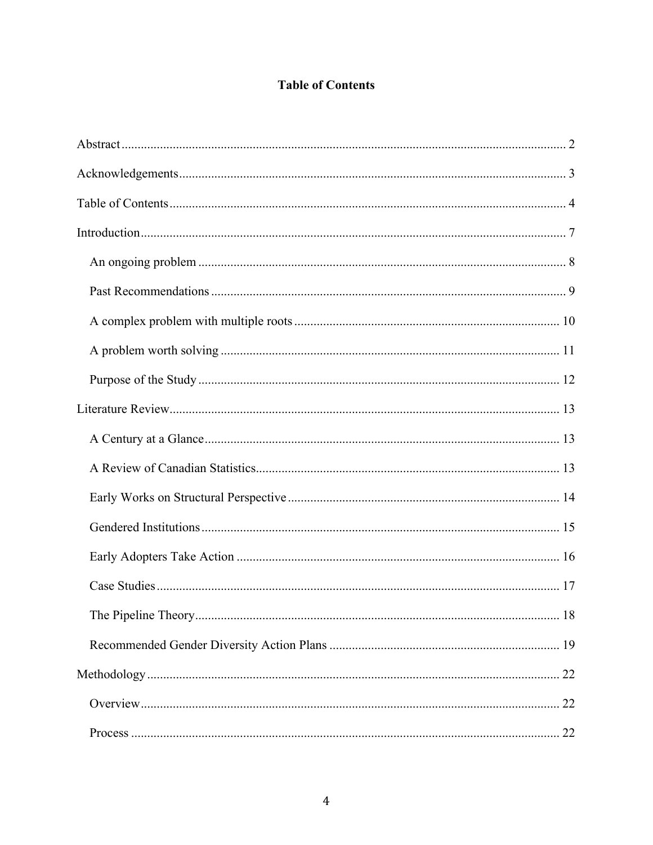## **Table of Contents**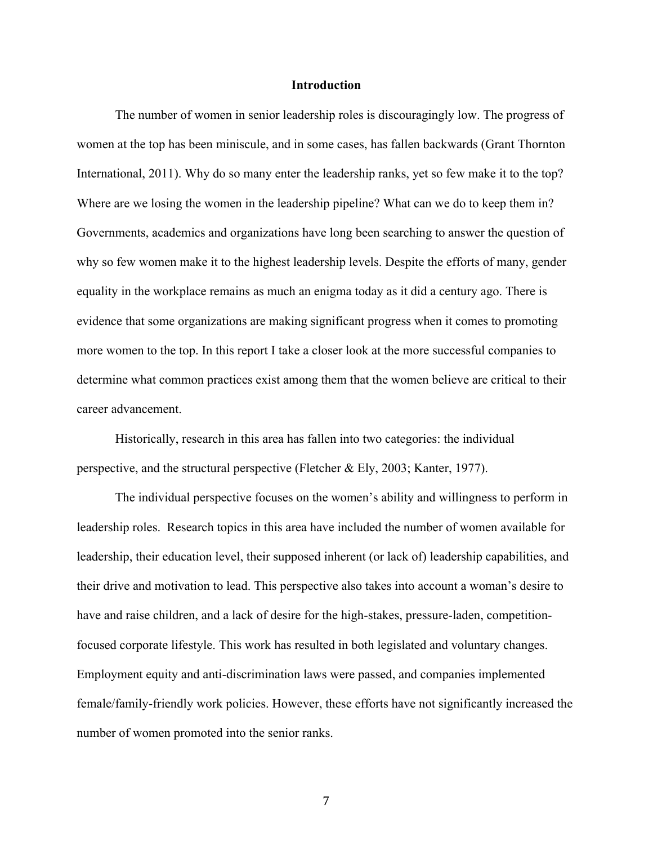#### **Introduction**

The number of women in senior leadership roles is discouragingly low. The progress of women at the top has been miniscule, and in some cases, has fallen backwards (Grant Thornton International, 2011). Why do so many enter the leadership ranks, yet so few make it to the top? Where are we losing the women in the leadership pipeline? What can we do to keep them in? Governments, academics and organizations have long been searching to answer the question of why so few women make it to the highest leadership levels. Despite the efforts of many, gender equality in the workplace remains as much an enigma today as it did a century ago. There is evidence that some organizations are making significant progress when it comes to promoting more women to the top. In this report I take a closer look at the more successful companies to determine what common practices exist among them that the women believe are critical to their career advancement.

Historically, research in this area has fallen into two categories: the individual perspective, and the structural perspective (Fletcher & Ely, 2003; Kanter, 1977).

The individual perspective focuses on the women's ability and willingness to perform in leadership roles. Research topics in this area have included the number of women available for leadership, their education level, their supposed inherent (or lack of) leadership capabilities, and their drive and motivation to lead. This perspective also takes into account a woman's desire to have and raise children, and a lack of desire for the high-stakes, pressure-laden, competitionfocused corporate lifestyle. This work has resulted in both legislated and voluntary changes. Employment equity and anti-discrimination laws were passed, and companies implemented female/family-friendly work policies. However, these efforts have not significantly increased the number of women promoted into the senior ranks.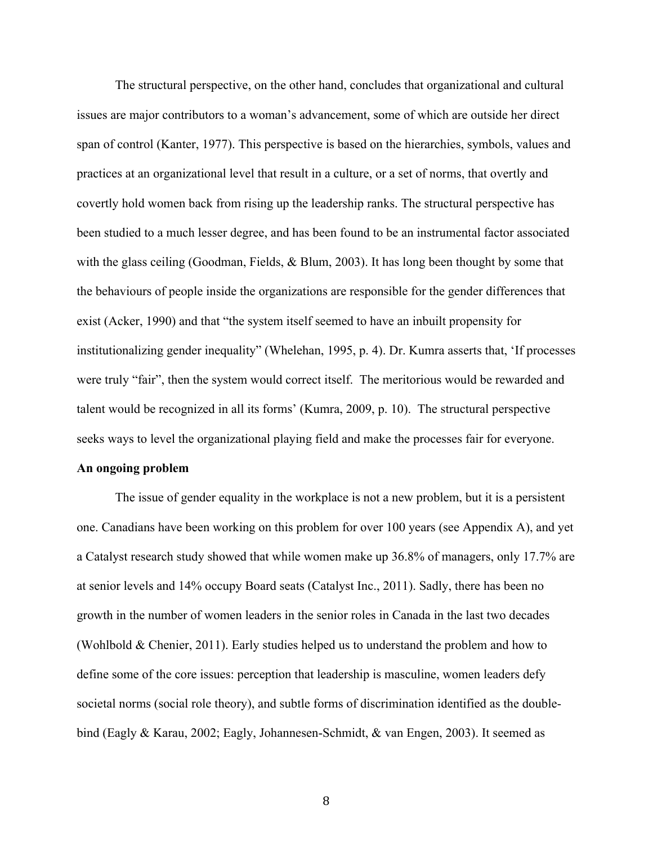The structural perspective, on the other hand, concludes that organizational and cultural issues are major contributors to a woman's advancement, some of which are outside her direct span of control (Kanter, 1977). This perspective is based on the hierarchies, symbols, values and practices at an organizational level that result in a culture, or a set of norms, that overtly and covertly hold women back from rising up the leadership ranks. The structural perspective has been studied to a much lesser degree, and has been found to be an instrumental factor associated with the glass ceiling (Goodman, Fields,  $\&$  Blum, 2003). It has long been thought by some that the behaviours of people inside the organizations are responsible for the gender differences that exist (Acker, 1990) and that "the system itself seemed to have an inbuilt propensity for institutionalizing gender inequality" (Whelehan, 1995, p. 4). Dr. Kumra asserts that, 'If processes were truly "fair", then the system would correct itself. The meritorious would be rewarded and talent would be recognized in all its forms' (Kumra, 2009, p. 10). The structural perspective seeks ways to level the organizational playing field and make the processes fair for everyone.

#### **An ongoing problem**

The issue of gender equality in the workplace is not a new problem, but it is a persistent one. Canadians have been working on this problem for over 100 years (see Appendix A), and yet a Catalyst research study showed that while women make up 36.8% of managers, only 17.7% are at senior levels and 14% occupy Board seats (Catalyst Inc., 2011). Sadly, there has been no growth in the number of women leaders in the senior roles in Canada in the last two decades (Wohlbold & Chenier, 2011). Early studies helped us to understand the problem and how to define some of the core issues: perception that leadership is masculine, women leaders defy societal norms (social role theory), and subtle forms of discrimination identified as the doublebind (Eagly & Karau, 2002; Eagly, Johannesen-Schmidt, & van Engen, 2003). It seemed as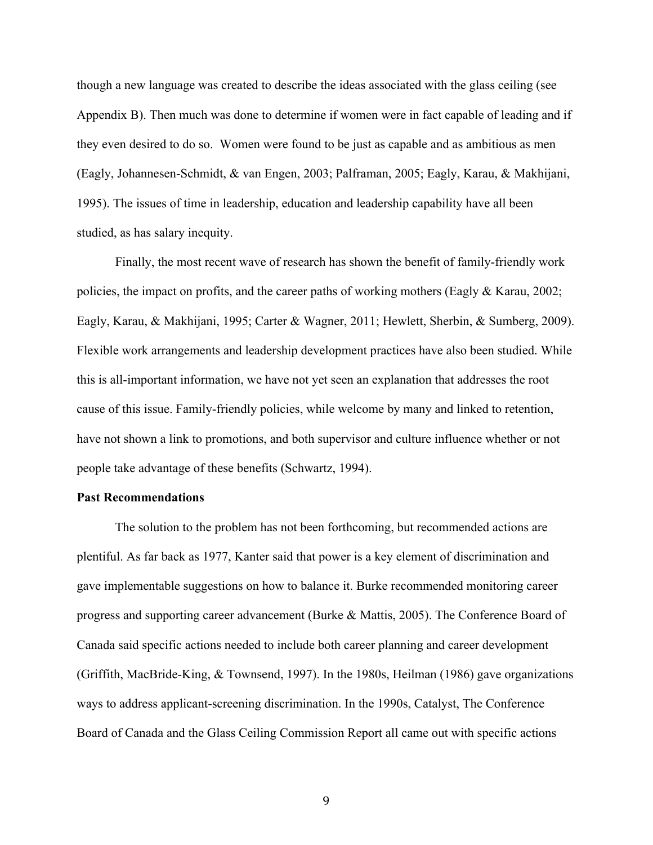though a new language was created to describe the ideas associated with the glass ceiling (see Appendix B). Then much was done to determine if women were in fact capable of leading and if they even desired to do so. Women were found to be just as capable and as ambitious as men (Eagly, Johannesen-Schmidt, & van Engen, 2003; Palframan, 2005; Eagly, Karau, & Makhijani, 1995). The issues of time in leadership, education and leadership capability have all been studied, as has salary inequity.

Finally, the most recent wave of research has shown the benefit of family-friendly work policies, the impact on profits, and the career paths of working mothers (Eagly & Karau, 2002; Eagly, Karau, & Makhijani, 1995; Carter & Wagner, 2011; Hewlett, Sherbin, & Sumberg, 2009). Flexible work arrangements and leadership development practices have also been studied. While this is all-important information, we have not yet seen an explanation that addresses the root cause of this issue. Family-friendly policies, while welcome by many and linked to retention, have not shown a link to promotions, and both supervisor and culture influence whether or not people take advantage of these benefits (Schwartz, 1994).

#### **Past Recommendations**

The solution to the problem has not been forthcoming, but recommended actions are plentiful. As far back as 1977, Kanter said that power is a key element of discrimination and gave implementable suggestions on how to balance it. Burke recommended monitoring career progress and supporting career advancement (Burke & Mattis, 2005). The Conference Board of Canada said specific actions needed to include both career planning and career development (Griffith, MacBride-King, & Townsend, 1997). In the 1980s, Heilman (1986) gave organizations ways to address applicant-screening discrimination. In the 1990s, Catalyst, The Conference Board of Canada and the Glass Ceiling Commission Report all came out with specific actions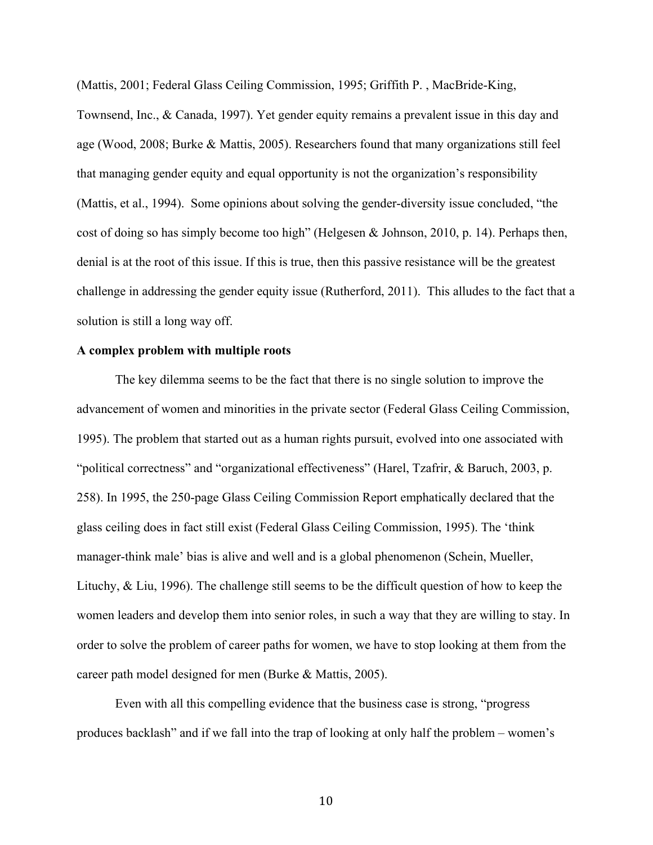(Mattis, 2001; Federal Glass Ceiling Commission, 1995; Griffith P. , MacBride-King,

Townsend, Inc., & Canada, 1997). Yet gender equity remains a prevalent issue in this day and age (Wood, 2008; Burke & Mattis, 2005). Researchers found that many organizations still feel that managing gender equity and equal opportunity is not the organization's responsibility (Mattis, et al., 1994). Some opinions about solving the gender-diversity issue concluded, "the cost of doing so has simply become too high" (Helgesen & Johnson, 2010, p. 14). Perhaps then, denial is at the root of this issue. If this is true, then this passive resistance will be the greatest challenge in addressing the gender equity issue (Rutherford, 2011). This alludes to the fact that a solution is still a long way off.

#### **A complex problem with multiple roots**

The key dilemma seems to be the fact that there is no single solution to improve the advancement of women and minorities in the private sector (Federal Glass Ceiling Commission, 1995). The problem that started out as a human rights pursuit, evolved into one associated with "political correctness" and "organizational effectiveness" (Harel, Tzafrir, & Baruch, 2003, p. 258). In 1995, the 250-page Glass Ceiling Commission Report emphatically declared that the glass ceiling does in fact still exist (Federal Glass Ceiling Commission, 1995). The 'think manager-think male' bias is alive and well and is a global phenomenon (Schein, Mueller, Lituchy, & Liu, 1996). The challenge still seems to be the difficult question of how to keep the women leaders and develop them into senior roles, in such a way that they are willing to stay. In order to solve the problem of career paths for women, we have to stop looking at them from the career path model designed for men (Burke & Mattis, 2005).

Even with all this compelling evidence that the business case is strong, "progress produces backlash" and if we fall into the trap of looking at only half the problem – women's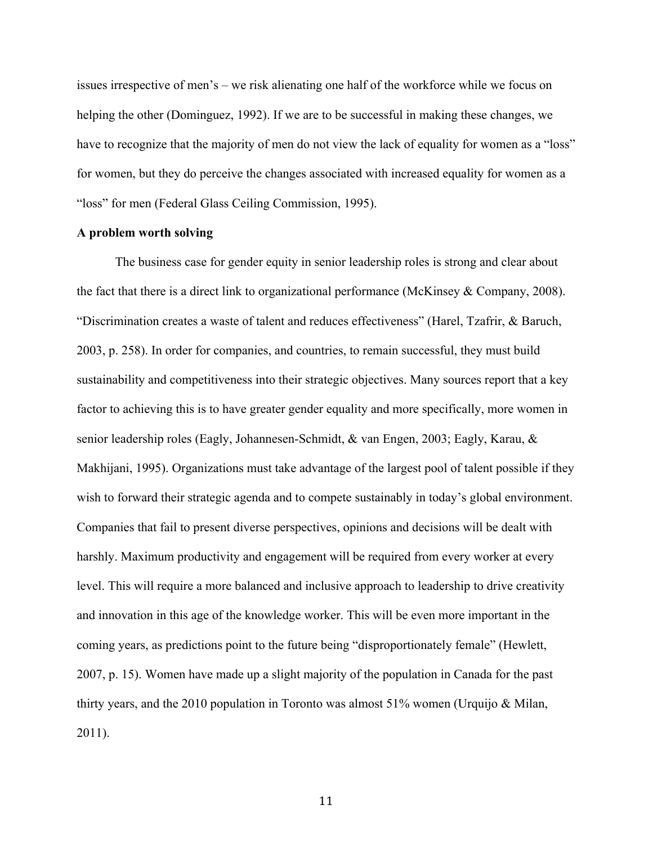issues irrespective of men's – we risk alienating one half of the workforce while we focus on helping the other (Dominguez, 1992). If we are to be successful in making these changes, we have to recognize that the majority of men do not view the lack of equality for women as a "loss" for women, but they do perceive the changes associated with increased equality for women as a "loss" for men (Federal Glass Ceiling Commission, 1995).

#### **A problem worth solving**

The business case for gender equity in senior leadership roles is strong and clear about the fact that there is a direct link to organizational performance (McKinsey & Company, 2008). "Discrimination creates a waste of talent and reduces effectiveness" (Harel, Tzafrir, & Baruch, 2003, p. 258). In order for companies, and countries, to remain successful, they must build sustainability and competitiveness into their strategic objectives. Many sources report that a key factor to achieving this is to have greater gender equality and more specifically, more women in senior leadership roles (Eagly, Johannesen-Schmidt, & van Engen, 2003; Eagly, Karau, & Makhijani, 1995). Organizations must take advantage of the largest pool of talent possible if they wish to forward their strategic agenda and to compete sustainably in today's global environment. Companies that fail to present diverse perspectives, opinions and decisions will be dealt with harshly. Maximum productivity and engagement will be required from every worker at every level. This will require a more balanced and inclusive approach to leadership to drive creativity and innovation in this age of the knowledge worker. This will be even more important in the coming years, as predictions point to the future being "disproportionately female" (Hewlett, 2007, p. 15). Women have made up a slight majority of the population in Canada for the past thirty years, and the 2010 population in Toronto was almost 51% women (Urquijo & Milan, 2011).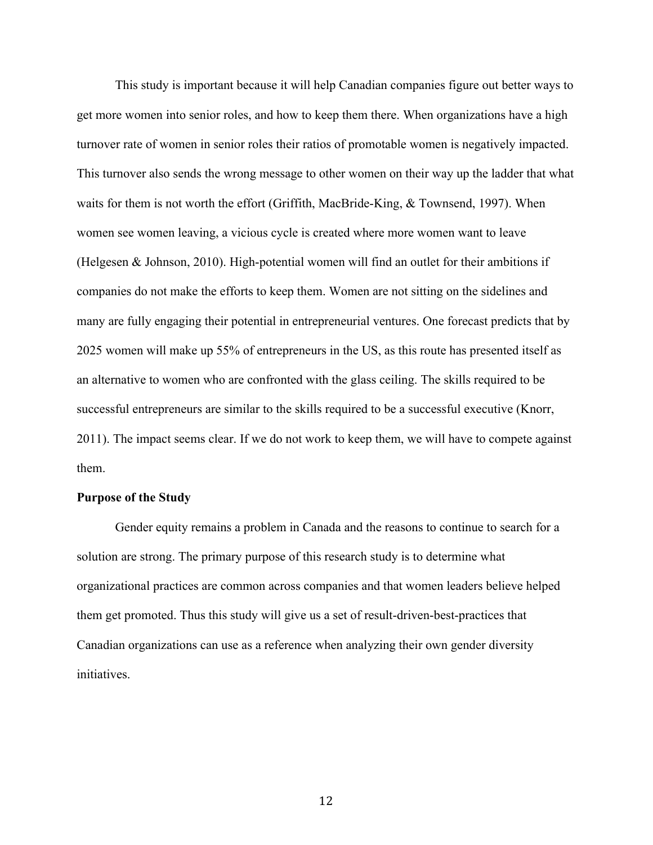This study is important because it will help Canadian companies figure out better ways to get more women into senior roles, and how to keep them there. When organizations have a high turnover rate of women in senior roles their ratios of promotable women is negatively impacted. This turnover also sends the wrong message to other women on their way up the ladder that what waits for them is not worth the effort (Griffith, MacBride-King, & Townsend, 1997). When women see women leaving, a vicious cycle is created where more women want to leave (Helgesen & Johnson, 2010). High-potential women will find an outlet for their ambitions if companies do not make the efforts to keep them. Women are not sitting on the sidelines and many are fully engaging their potential in entrepreneurial ventures. One forecast predicts that by 2025 women will make up 55% of entrepreneurs in the US, as this route has presented itself as an alternative to women who are confronted with the glass ceiling. The skills required to be successful entrepreneurs are similar to the skills required to be a successful executive (Knorr, 2011). The impact seems clear. If we do not work to keep them, we will have to compete against them.

#### **Purpose of the Study**

Gender equity remains a problem in Canada and the reasons to continue to search for a solution are strong. The primary purpose of this research study is to determine what organizational practices are common across companies and that women leaders believe helped them get promoted. Thus this study will give us a set of result-driven-best-practices that Canadian organizations can use as a reference when analyzing their own gender diversity initiatives.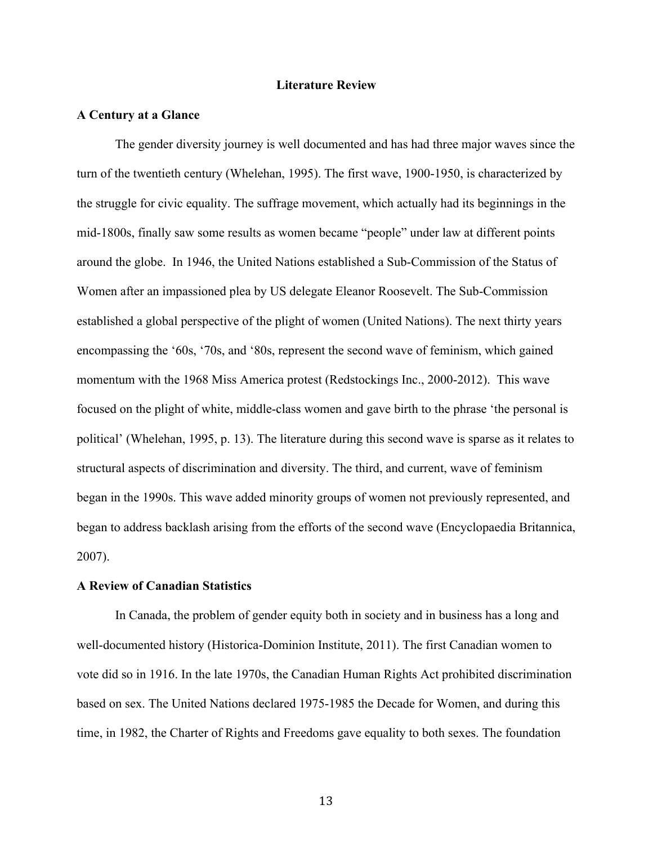#### **Literature Review**

#### **A Century at a Glance**

The gender diversity journey is well documented and has had three major waves since the turn of the twentieth century (Whelehan, 1995). The first wave, 1900-1950, is characterized by the struggle for civic equality. The suffrage movement, which actually had its beginnings in the mid-1800s, finally saw some results as women became "people" under law at different points around the globe. In 1946, the United Nations established a Sub-Commission of the Status of Women after an impassioned plea by US delegate Eleanor Roosevelt. The Sub-Commission established a global perspective of the plight of women (United Nations). The next thirty years encompassing the '60s, '70s, and '80s, represent the second wave of feminism, which gained momentum with the 1968 Miss America protest (Redstockings Inc., 2000-2012). This wave focused on the plight of white, middle-class women and gave birth to the phrase 'the personal is political' (Whelehan, 1995, p. 13). The literature during this second wave is sparse as it relates to structural aspects of discrimination and diversity. The third, and current, wave of feminism began in the 1990s. This wave added minority groups of women not previously represented, and began to address backlash arising from the efforts of the second wave (Encyclopaedia Britannica, 2007).

#### **A Review of Canadian Statistics**

In Canada, the problem of gender equity both in society and in business has a long and well-documented history (Historica-Dominion Institute, 2011). The first Canadian women to vote did so in 1916. In the late 1970s, the Canadian Human Rights Act prohibited discrimination based on sex. The United Nations declared 1975-1985 the Decade for Women, and during this time, in 1982, the Charter of Rights and Freedoms gave equality to both sexes. The foundation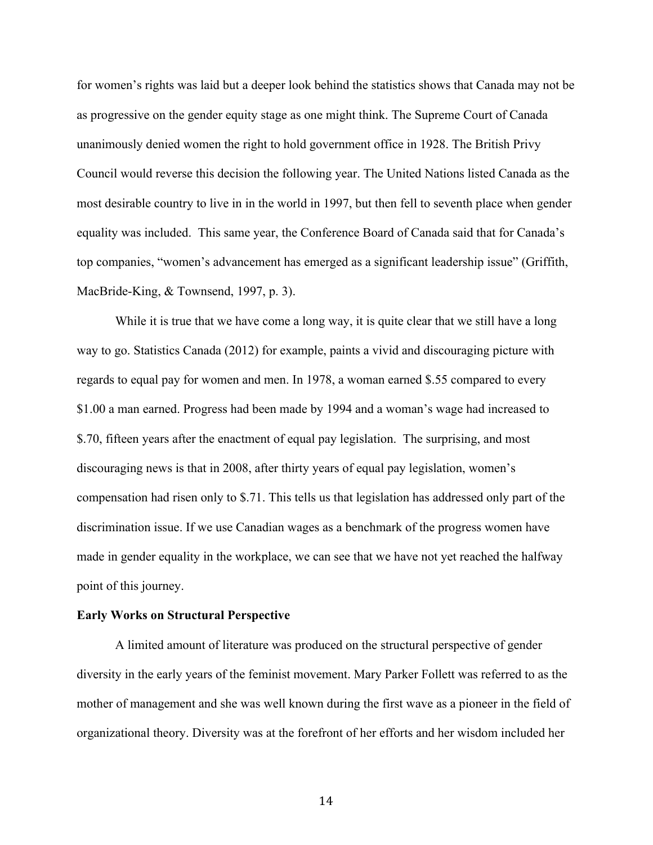for women's rights was laid but a deeper look behind the statistics shows that Canada may not be as progressive on the gender equity stage as one might think. The Supreme Court of Canada unanimously denied women the right to hold government office in 1928. The British Privy Council would reverse this decision the following year. The United Nations listed Canada as the most desirable country to live in in the world in 1997, but then fell to seventh place when gender equality was included. This same year, the Conference Board of Canada said that for Canada's top companies, "women's advancement has emerged as a significant leadership issue" (Griffith, MacBride-King, & Townsend, 1997, p. 3).

While it is true that we have come a long way, it is quite clear that we still have a long way to go. Statistics Canada (2012) for example, paints a vivid and discouraging picture with regards to equal pay for women and men. In 1978, a woman earned \$.55 compared to every \$1.00 a man earned. Progress had been made by 1994 and a woman's wage had increased to \$.70, fifteen years after the enactment of equal pay legislation. The surprising, and most discouraging news is that in 2008, after thirty years of equal pay legislation, women's compensation had risen only to \$.71. This tells us that legislation has addressed only part of the discrimination issue. If we use Canadian wages as a benchmark of the progress women have made in gender equality in the workplace, we can see that we have not yet reached the halfway point of this journey.

#### **Early Works on Structural Perspective**

A limited amount of literature was produced on the structural perspective of gender diversity in the early years of the feminist movement. Mary Parker Follett was referred to as the mother of management and she was well known during the first wave as a pioneer in the field of organizational theory. Diversity was at the forefront of her efforts and her wisdom included her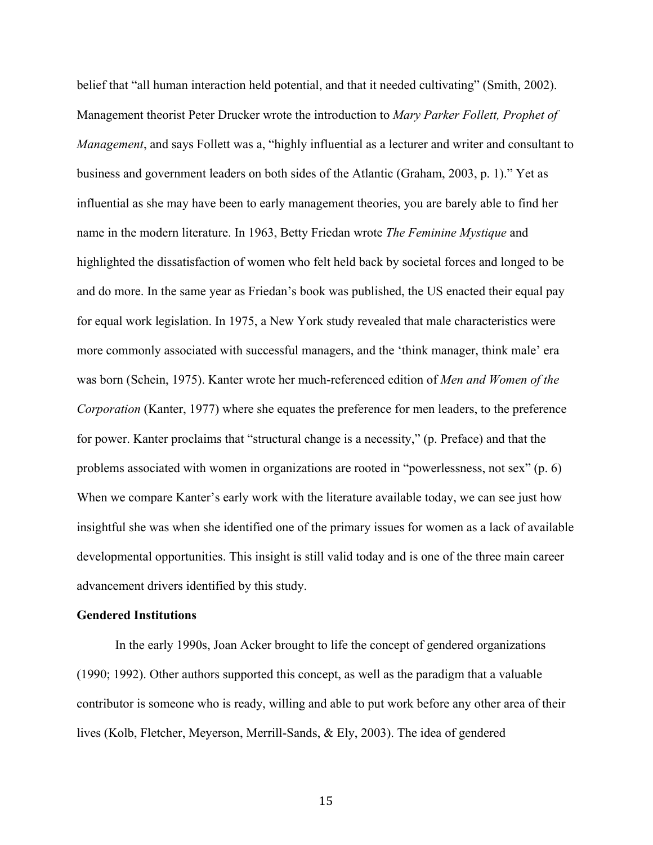belief that "all human interaction held potential, and that it needed cultivating" (Smith, 2002). Management theorist Peter Drucker wrote the introduction to *Mary Parker Follett, Prophet of Management*, and says Follett was a, "highly influential as a lecturer and writer and consultant to business and government leaders on both sides of the Atlantic (Graham, 2003, p. 1)." Yet as influential as she may have been to early management theories, you are barely able to find her name in the modern literature. In 1963, Betty Friedan wrote *The Feminine Mystique* and highlighted the dissatisfaction of women who felt held back by societal forces and longed to be and do more. In the same year as Friedan's book was published, the US enacted their equal pay for equal work legislation. In 1975, a New York study revealed that male characteristics were more commonly associated with successful managers, and the 'think manager, think male' era was born (Schein, 1975). Kanter wrote her much-referenced edition of *Men and Women of the Corporation* (Kanter, 1977) where she equates the preference for men leaders, to the preference for power. Kanter proclaims that "structural change is a necessity," (p. Preface) and that the problems associated with women in organizations are rooted in "powerlessness, not sex" (p. 6) When we compare Kanter's early work with the literature available today, we can see just how insightful she was when she identified one of the primary issues for women as a lack of available developmental opportunities. This insight is still valid today and is one of the three main career advancement drivers identified by this study.

#### **Gendered Institutions**

In the early 1990s, Joan Acker brought to life the concept of gendered organizations (1990; 1992). Other authors supported this concept, as well as the paradigm that a valuable contributor is someone who is ready, willing and able to put work before any other area of their lives (Kolb, Fletcher, Meyerson, Merrill-Sands, & Ely, 2003). The idea of gendered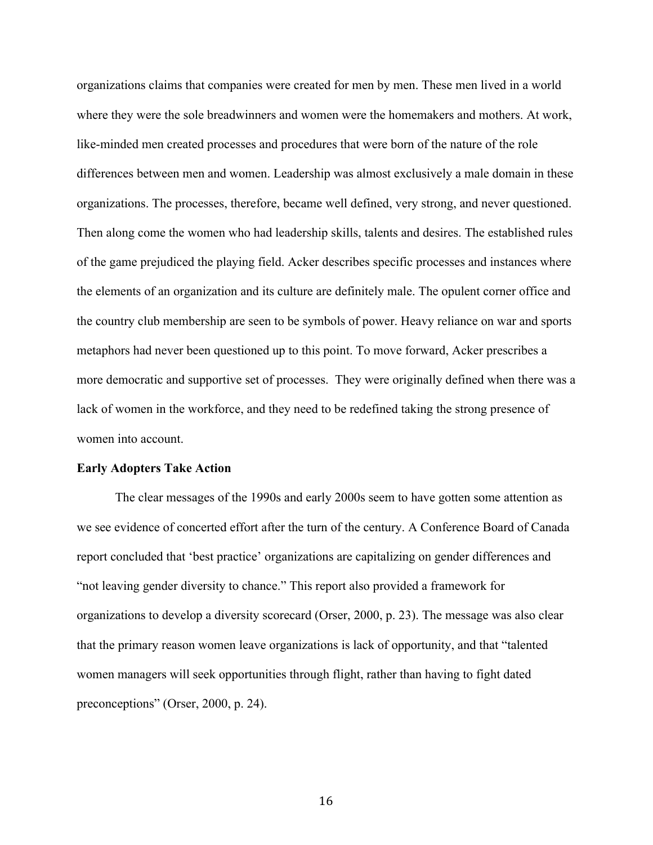organizations claims that companies were created for men by men. These men lived in a world where they were the sole breadwinners and women were the homemakers and mothers. At work, like-minded men created processes and procedures that were born of the nature of the role differences between men and women. Leadership was almost exclusively a male domain in these organizations. The processes, therefore, became well defined, very strong, and never questioned. Then along come the women who had leadership skills, talents and desires. The established rules of the game prejudiced the playing field. Acker describes specific processes and instances where the elements of an organization and its culture are definitely male. The opulent corner office and the country club membership are seen to be symbols of power. Heavy reliance on war and sports metaphors had never been questioned up to this point. To move forward, Acker prescribes a more democratic and supportive set of processes. They were originally defined when there was a lack of women in the workforce, and they need to be redefined taking the strong presence of women into account.

#### **Early Adopters Take Action**

The clear messages of the 1990s and early 2000s seem to have gotten some attention as we see evidence of concerted effort after the turn of the century. A Conference Board of Canada report concluded that 'best practice' organizations are capitalizing on gender differences and "not leaving gender diversity to chance." This report also provided a framework for organizations to develop a diversity scorecard (Orser, 2000, p. 23). The message was also clear that the primary reason women leave organizations is lack of opportunity, and that "talented women managers will seek opportunities through flight, rather than having to fight dated preconceptions" (Orser, 2000, p. 24).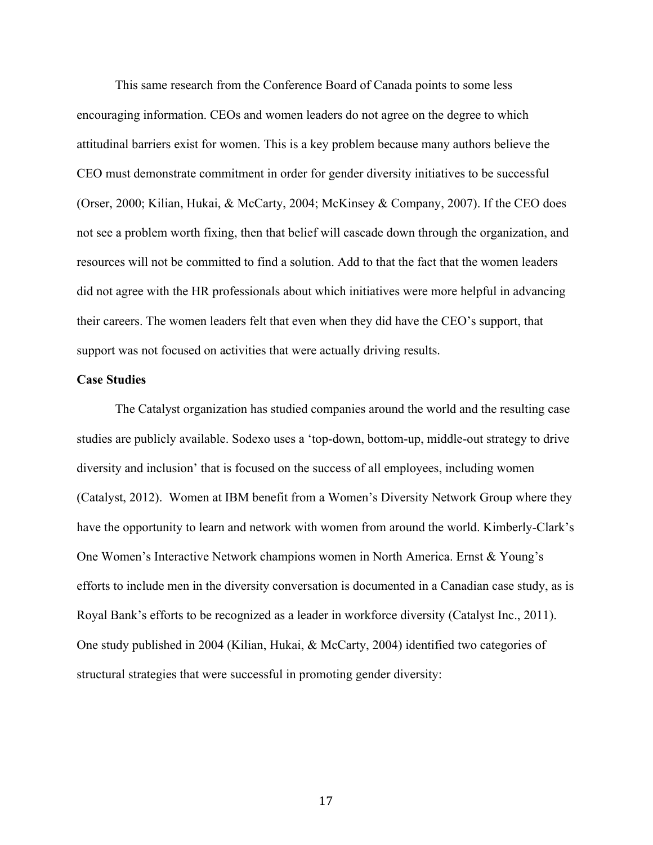This same research from the Conference Board of Canada points to some less encouraging information. CEOs and women leaders do not agree on the degree to which attitudinal barriers exist for women. This is a key problem because many authors believe the CEO must demonstrate commitment in order for gender diversity initiatives to be successful (Orser, 2000; Kilian, Hukai, & McCarty, 2004; McKinsey & Company, 2007). If the CEO does not see a problem worth fixing, then that belief will cascade down through the organization, and resources will not be committed to find a solution. Add to that the fact that the women leaders did not agree with the HR professionals about which initiatives were more helpful in advancing their careers. The women leaders felt that even when they did have the CEO's support, that support was not focused on activities that were actually driving results.

#### **Case Studies**

The Catalyst organization has studied companies around the world and the resulting case studies are publicly available. Sodexo uses a 'top-down, bottom-up, middle-out strategy to drive diversity and inclusion' that is focused on the success of all employees, including women (Catalyst, 2012). Women at IBM benefit from a Women's Diversity Network Group where they have the opportunity to learn and network with women from around the world. Kimberly-Clark's One Women's Interactive Network champions women in North America. Ernst & Young's efforts to include men in the diversity conversation is documented in a Canadian case study, as is Royal Bank's efforts to be recognized as a leader in workforce diversity (Catalyst Inc., 2011). One study published in 2004 (Kilian, Hukai, & McCarty, 2004) identified two categories of structural strategies that were successful in promoting gender diversity: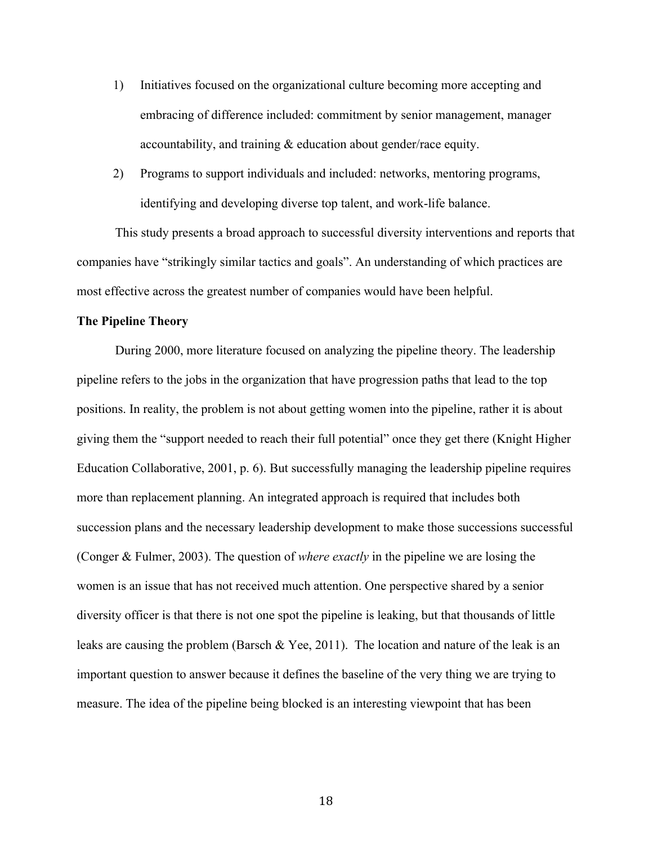- 1) Initiatives focused on the organizational culture becoming more accepting and embracing of difference included: commitment by senior management, manager accountability, and training & education about gender/race equity.
- 2) Programs to support individuals and included: networks, mentoring programs, identifying and developing diverse top talent, and work-life balance.

This study presents a broad approach to successful diversity interventions and reports that companies have "strikingly similar tactics and goals". An understanding of which practices are most effective across the greatest number of companies would have been helpful.

#### **The Pipeline Theory**

During 2000, more literature focused on analyzing the pipeline theory. The leadership pipeline refers to the jobs in the organization that have progression paths that lead to the top positions. In reality, the problem is not about getting women into the pipeline, rather it is about giving them the "support needed to reach their full potential" once they get there (Knight Higher Education Collaborative, 2001, p. 6). But successfully managing the leadership pipeline requires more than replacement planning. An integrated approach is required that includes both succession plans and the necessary leadership development to make those successions successful (Conger & Fulmer, 2003). The question of *where exactly* in the pipeline we are losing the women is an issue that has not received much attention. One perspective shared by a senior diversity officer is that there is not one spot the pipeline is leaking, but that thousands of little leaks are causing the problem (Barsch & Yee, 2011). The location and nature of the leak is an important question to answer because it defines the baseline of the very thing we are trying to measure. The idea of the pipeline being blocked is an interesting viewpoint that has been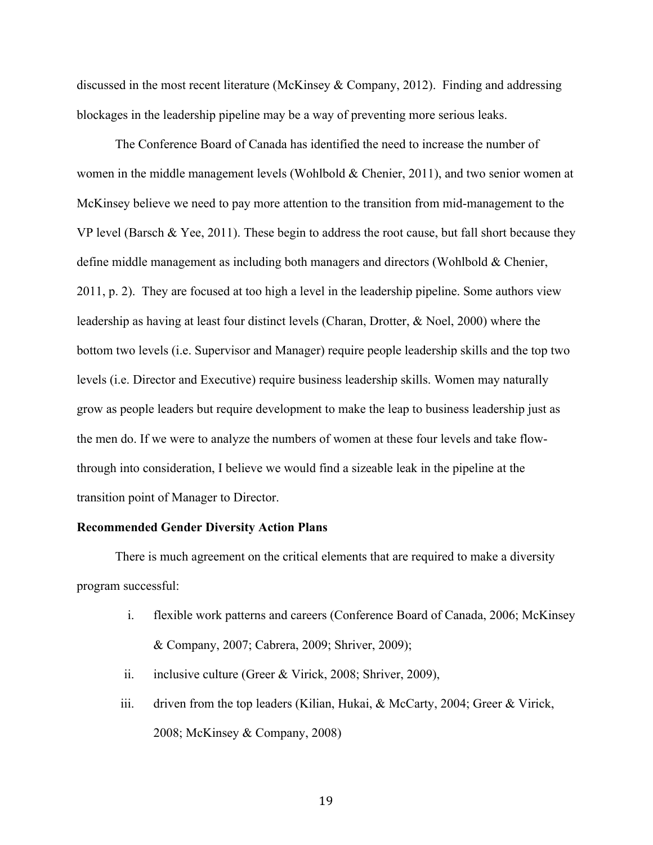discussed in the most recent literature (McKinsey & Company, 2012). Finding and addressing blockages in the leadership pipeline may be a way of preventing more serious leaks.

The Conference Board of Canada has identified the need to increase the number of women in the middle management levels (Wohlbold & Chenier, 2011), and two senior women at McKinsey believe we need to pay more attention to the transition from mid-management to the VP level (Barsch & Yee, 2011). These begin to address the root cause, but fall short because they define middle management as including both managers and directors (Wohlbold & Chenier, 2011, p. 2). They are focused at too high a level in the leadership pipeline. Some authors view leadership as having at least four distinct levels (Charan, Drotter, & Noel, 2000) where the bottom two levels (i.e. Supervisor and Manager) require people leadership skills and the top two levels (i.e. Director and Executive) require business leadership skills. Women may naturally grow as people leaders but require development to make the leap to business leadership just as the men do. If we were to analyze the numbers of women at these four levels and take flowthrough into consideration, I believe we would find a sizeable leak in the pipeline at the transition point of Manager to Director.

#### **Recommended Gender Diversity Action Plans**

There is much agreement on the critical elements that are required to make a diversity program successful:

- i. flexible work patterns and careers (Conference Board of Canada, 2006; McKinsey & Company, 2007; Cabrera, 2009; Shriver, 2009);
- ii. inclusive culture (Greer & Virick, 2008; Shriver, 2009),
- iii. driven from the top leaders (Kilian, Hukai, & McCarty, 2004; Greer & Virick, 2008; McKinsey & Company, 2008)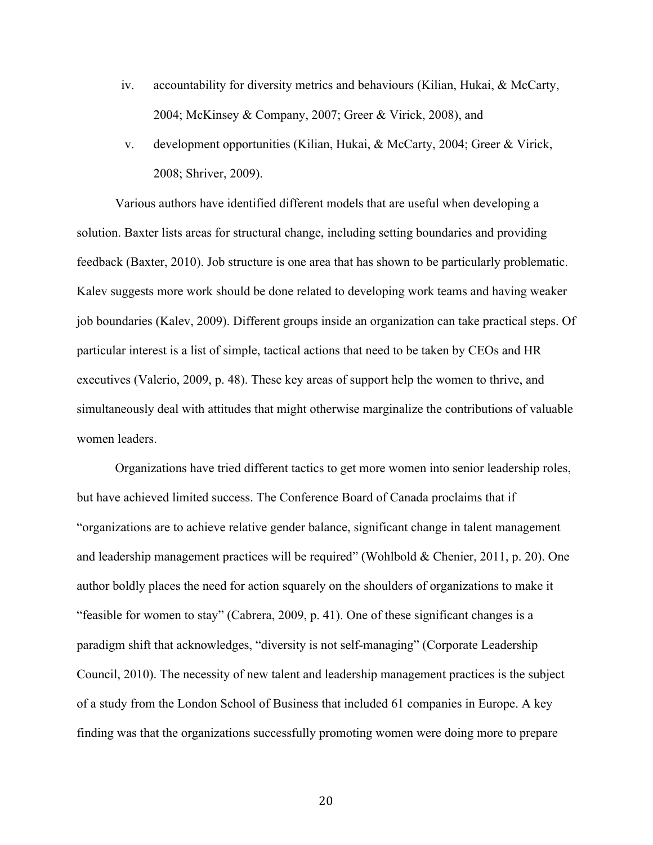- iv. accountability for diversity metrics and behaviours (Kilian, Hukai, & McCarty, 2004; McKinsey & Company, 2007; Greer & Virick, 2008), and
- v. development opportunities (Kilian, Hukai, & McCarty, 2004; Greer & Virick, 2008; Shriver, 2009).

Various authors have identified different models that are useful when developing a solution. Baxter lists areas for structural change, including setting boundaries and providing feedback (Baxter, 2010). Job structure is one area that has shown to be particularly problematic. Kalev suggests more work should be done related to developing work teams and having weaker job boundaries (Kalev, 2009). Different groups inside an organization can take practical steps. Of particular interest is a list of simple, tactical actions that need to be taken by CEOs and HR executives (Valerio, 2009, p. 48). These key areas of support help the women to thrive, and simultaneously deal with attitudes that might otherwise marginalize the contributions of valuable women leaders.

Organizations have tried different tactics to get more women into senior leadership roles, but have achieved limited success. The Conference Board of Canada proclaims that if "organizations are to achieve relative gender balance, significant change in talent management and leadership management practices will be required" (Wohlbold & Chenier, 2011, p. 20). One author boldly places the need for action squarely on the shoulders of organizations to make it "feasible for women to stay" (Cabrera, 2009, p. 41). One of these significant changes is a paradigm shift that acknowledges, "diversity is not self-managing" (Corporate Leadership Council, 2010). The necessity of new talent and leadership management practices is the subject of a study from the London School of Business that included 61 companies in Europe. A key finding was that the organizations successfully promoting women were doing more to prepare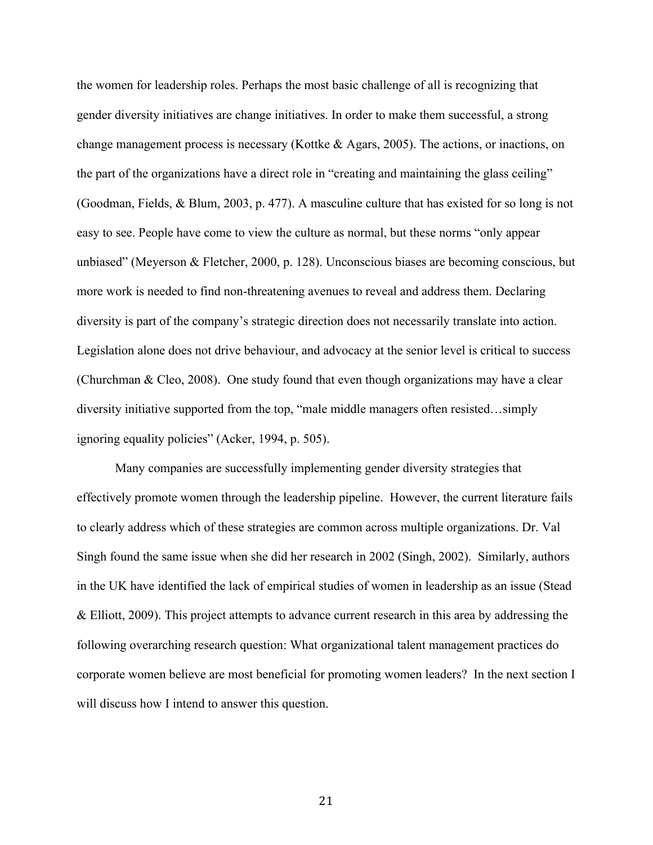the women for leadership roles. Perhaps the most basic challenge of all is recognizing that gender diversity initiatives are change initiatives. In order to make them successful, a strong change management process is necessary (Kottke & Agars, 2005). The actions, or inactions, on the part of the organizations have a direct role in "creating and maintaining the glass ceiling" (Goodman, Fields, & Blum, 2003, p. 477). A masculine culture that has existed for so long is not easy to see. People have come to view the culture as normal, but these norms "only appear unbiased" (Meyerson & Fletcher, 2000, p. 128). Unconscious biases are becoming conscious, but more work is needed to find non-threatening avenues to reveal and address them. Declaring diversity is part of the company's strategic direction does not necessarily translate into action. Legislation alone does not drive behaviour, and advocacy at the senior level is critical to success (Churchman & Cleo, 2008). One study found that even though organizations may have a clear diversity initiative supported from the top, "male middle managers often resisted…simply ignoring equality policies" (Acker, 1994, p. 505).

Many companies are successfully implementing gender diversity strategies that effectively promote women through the leadership pipeline. However, the current literature fails to clearly address which of these strategies are common across multiple organizations. Dr. Val Singh found the same issue when she did her research in 2002 (Singh, 2002). Similarly, authors in the UK have identified the lack of empirical studies of women in leadership as an issue (Stead & Elliott, 2009). This project attempts to advance current research in this area by addressing the following overarching research question: What organizational talent management practices do corporate women believe are most beneficial for promoting women leaders? In the next section I will discuss how I intend to answer this question.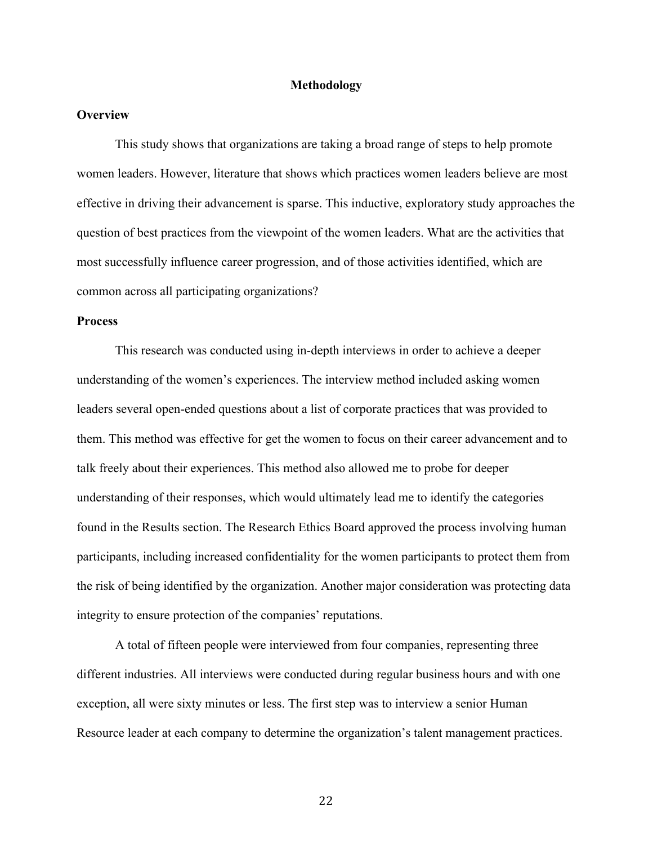#### **Methodology**

#### **Overview**

This study shows that organizations are taking a broad range of steps to help promote women leaders. However, literature that shows which practices women leaders believe are most effective in driving their advancement is sparse. This inductive, exploratory study approaches the question of best practices from the viewpoint of the women leaders. What are the activities that most successfully influence career progression, and of those activities identified, which are common across all participating organizations?

#### **Process**

This research was conducted using in-depth interviews in order to achieve a deeper understanding of the women's experiences. The interview method included asking women leaders several open-ended questions about a list of corporate practices that was provided to them. This method was effective for get the women to focus on their career advancement and to talk freely about their experiences. This method also allowed me to probe for deeper understanding of their responses, which would ultimately lead me to identify the categories found in the Results section. The Research Ethics Board approved the process involving human participants, including increased confidentiality for the women participants to protect them from the risk of being identified by the organization. Another major consideration was protecting data integrity to ensure protection of the companies' reputations.

A total of fifteen people were interviewed from four companies, representing three different industries. All interviews were conducted during regular business hours and with one exception, all were sixty minutes or less. The first step was to interview a senior Human Resource leader at each company to determine the organization's talent management practices.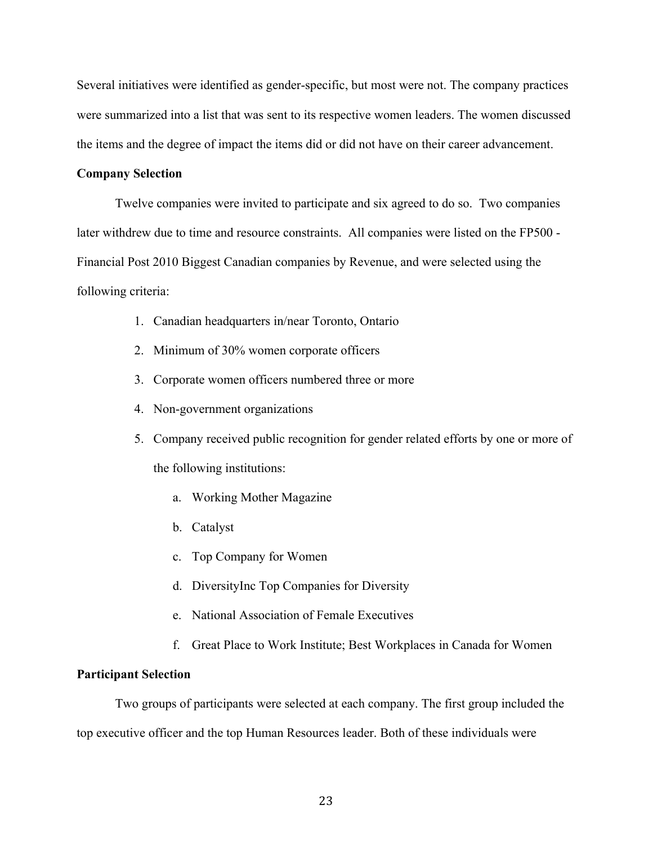Several initiatives were identified as gender-specific, but most were not. The company practices were summarized into a list that was sent to its respective women leaders. The women discussed the items and the degree of impact the items did or did not have on their career advancement.

#### **Company Selection**

Twelve companies were invited to participate and six agreed to do so. Two companies later withdrew due to time and resource constraints. All companies were listed on the FP500 - Financial Post 2010 Biggest Canadian companies by Revenue, and were selected using the following criteria:

- 1. Canadian headquarters in/near Toronto, Ontario
- 2. Minimum of 30% women corporate officers
- 3. Corporate women officers numbered three or more
- 4. Non-government organizations
- 5. Company received public recognition for gender related efforts by one or more of the following institutions:
	- a. Working Mother Magazine
	- b. Catalyst
	- c. Top Company for Women
	- d. DiversityInc Top Companies for Diversity
	- e. National Association of Female Executives
	- f. Great Place to Work Institute; Best Workplaces in Canada for Women

#### **Participant Selection**

Two groups of participants were selected at each company. The first group included the top executive officer and the top Human Resources leader. Both of these individuals were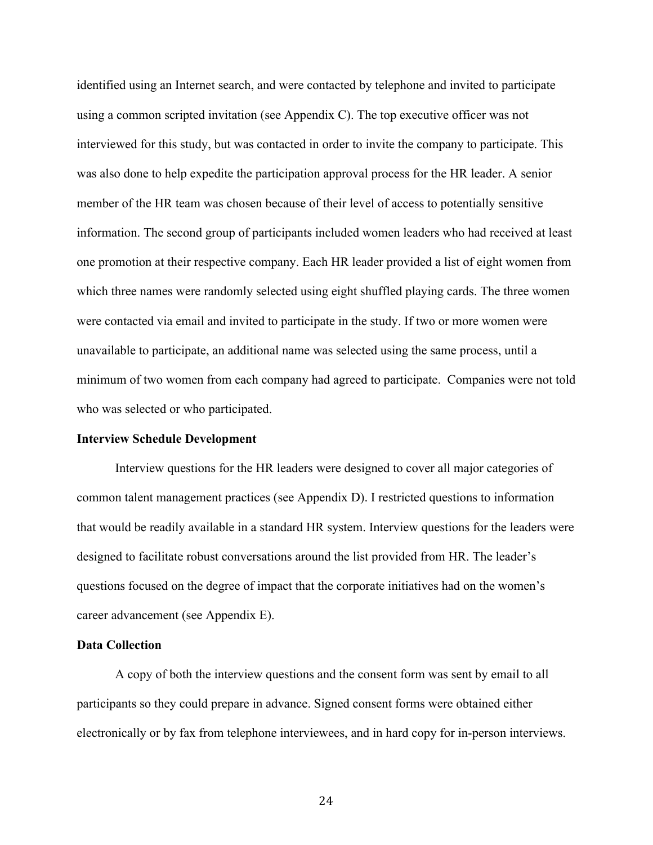identified using an Internet search, and were contacted by telephone and invited to participate using a common scripted invitation (see Appendix C). The top executive officer was not interviewed for this study, but was contacted in order to invite the company to participate. This was also done to help expedite the participation approval process for the HR leader. A senior member of the HR team was chosen because of their level of access to potentially sensitive information. The second group of participants included women leaders who had received at least one promotion at their respective company. Each HR leader provided a list of eight women from which three names were randomly selected using eight shuffled playing cards. The three women were contacted via email and invited to participate in the study. If two or more women were unavailable to participate, an additional name was selected using the same process, until a minimum of two women from each company had agreed to participate. Companies were not told who was selected or who participated.

#### **Interview Schedule Development**

Interview questions for the HR leaders were designed to cover all major categories of common talent management practices (see Appendix D). I restricted questions to information that would be readily available in a standard HR system. Interview questions for the leaders were designed to facilitate robust conversations around the list provided from HR. The leader's questions focused on the degree of impact that the corporate initiatives had on the women's career advancement (see Appendix E).

#### **Data Collection**

A copy of both the interview questions and the consent form was sent by email to all participants so they could prepare in advance. Signed consent forms were obtained either electronically or by fax from telephone interviewees, and in hard copy for in-person interviews.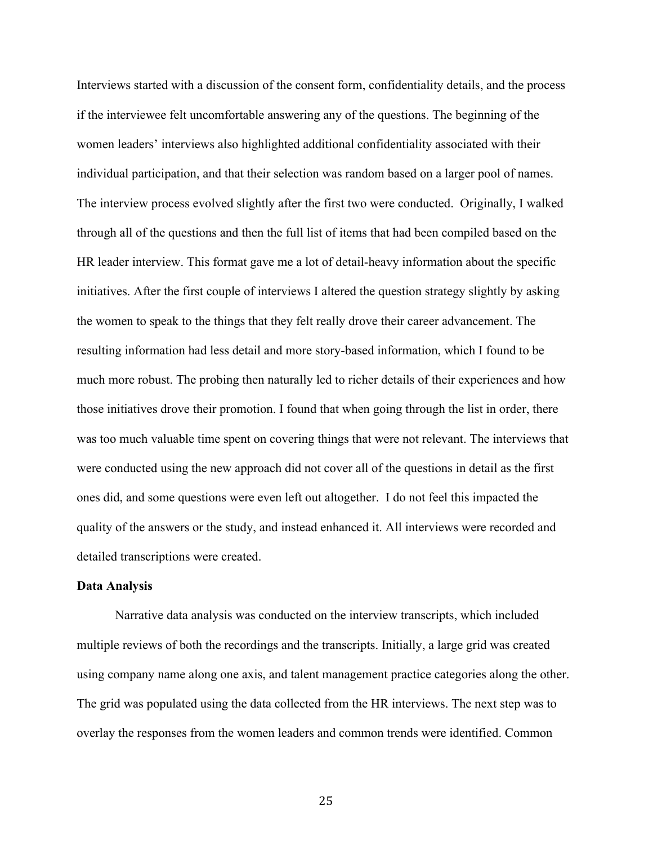Interviews started with a discussion of the consent form, confidentiality details, and the process if the interviewee felt uncomfortable answering any of the questions. The beginning of the women leaders' interviews also highlighted additional confidentiality associated with their individual participation, and that their selection was random based on a larger pool of names. The interview process evolved slightly after the first two were conducted. Originally, I walked through all of the questions and then the full list of items that had been compiled based on the HR leader interview. This format gave me a lot of detail-heavy information about the specific initiatives. After the first couple of interviews I altered the question strategy slightly by asking the women to speak to the things that they felt really drove their career advancement. The resulting information had less detail and more story-based information, which I found to be much more robust. The probing then naturally led to richer details of their experiences and how those initiatives drove their promotion. I found that when going through the list in order, there was too much valuable time spent on covering things that were not relevant. The interviews that were conducted using the new approach did not cover all of the questions in detail as the first ones did, and some questions were even left out altogether. I do not feel this impacted the quality of the answers or the study, and instead enhanced it. All interviews were recorded and detailed transcriptions were created.

#### **Data Analysis**

Narrative data analysis was conducted on the interview transcripts, which included multiple reviews of both the recordings and the transcripts. Initially, a large grid was created using company name along one axis, and talent management practice categories along the other. The grid was populated using the data collected from the HR interviews. The next step was to overlay the responses from the women leaders and common trends were identified. Common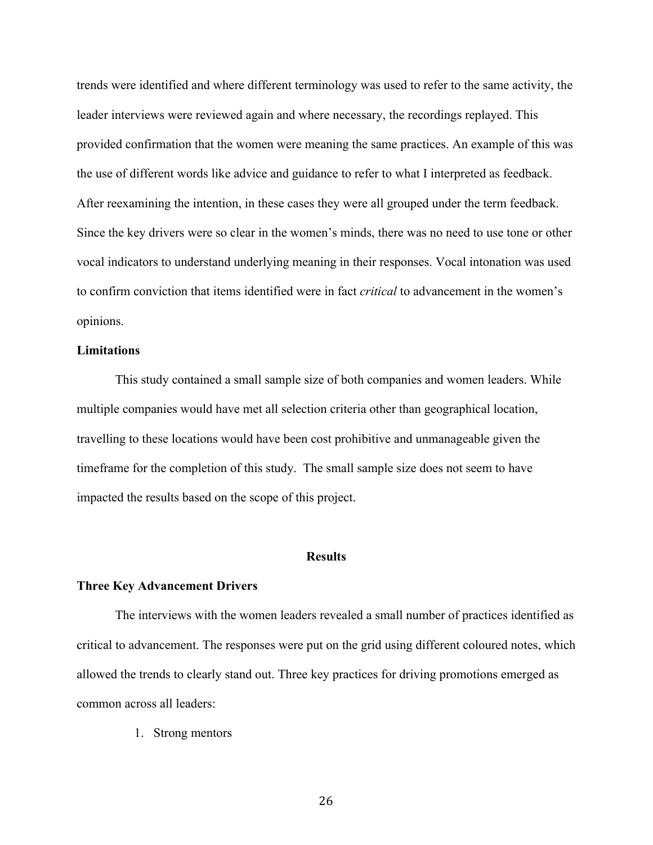trends were identified and where different terminology was used to refer to the same activity, the leader interviews were reviewed again and where necessary, the recordings replayed. This provided confirmation that the women were meaning the same practices. An example of this was the use of different words like advice and guidance to refer to what I interpreted as feedback. After reexamining the intention, in these cases they were all grouped under the term feedback. Since the key drivers were so clear in the women's minds, there was no need to use tone or other vocal indicators to understand underlying meaning in their responses. Vocal intonation was used to confirm conviction that items identified were in fact *critical* to advancement in the women's opinions.

#### **Limitations**

This study contained a small sample size of both companies and women leaders. While multiple companies would have met all selection criteria other than geographical location, travelling to these locations would have been cost prohibitive and unmanageable given the timeframe for the completion of this study. The small sample size does not seem to have impacted the results based on the scope of this project.

#### **Results**

#### **Three Key Advancement Drivers**

The interviews with the women leaders revealed a small number of practices identified as critical to advancement. The responses were put on the grid using different coloured notes, which allowed the trends to clearly stand out. Three key practices for driving promotions emerged as common across all leaders:

1. Strong mentors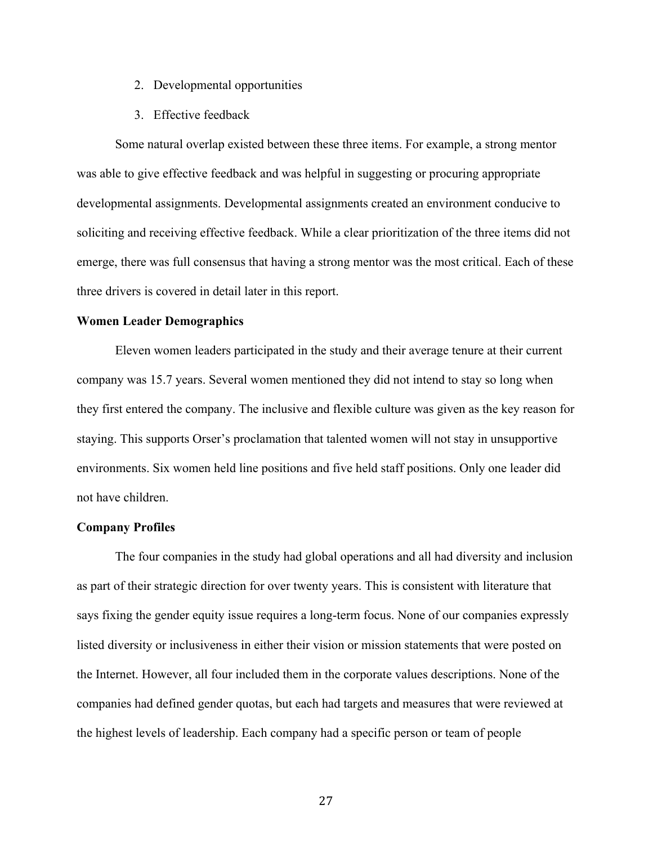- 2. Developmental opportunities
- 3. Effective feedback

Some natural overlap existed between these three items. For example, a strong mentor was able to give effective feedback and was helpful in suggesting or procuring appropriate developmental assignments. Developmental assignments created an environment conducive to soliciting and receiving effective feedback. While a clear prioritization of the three items did not emerge, there was full consensus that having a strong mentor was the most critical. Each of these three drivers is covered in detail later in this report.

#### **Women Leader Demographics**

Eleven women leaders participated in the study and their average tenure at their current company was 15.7 years. Several women mentioned they did not intend to stay so long when they first entered the company. The inclusive and flexible culture was given as the key reason for staying. This supports Orser's proclamation that talented women will not stay in unsupportive environments. Six women held line positions and five held staff positions. Only one leader did not have children.

#### **Company Profiles**

The four companies in the study had global operations and all had diversity and inclusion as part of their strategic direction for over twenty years. This is consistent with literature that says fixing the gender equity issue requires a long-term focus. None of our companies expressly listed diversity or inclusiveness in either their vision or mission statements that were posted on the Internet. However, all four included them in the corporate values descriptions. None of the companies had defined gender quotas, but each had targets and measures that were reviewed at the highest levels of leadership. Each company had a specific person or team of people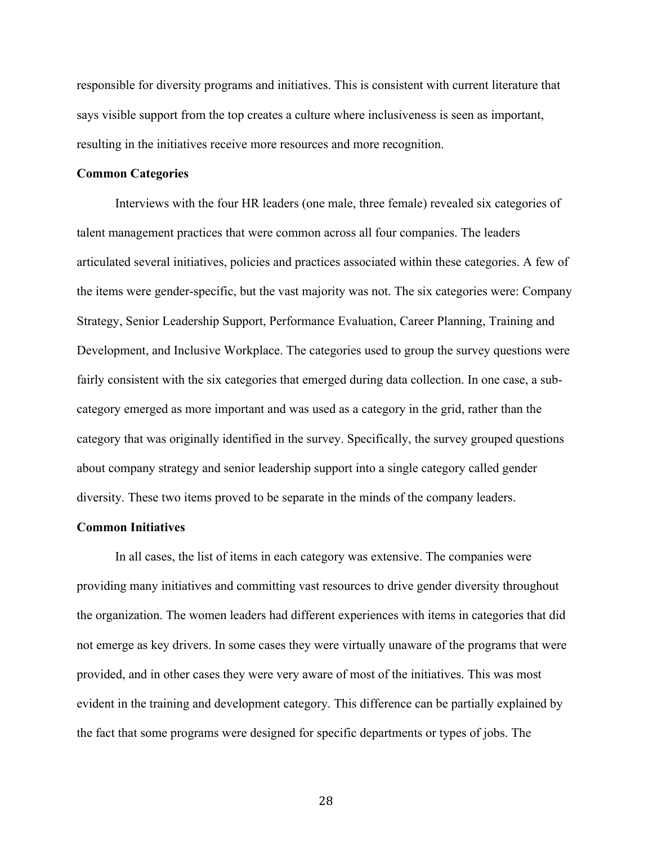responsible for diversity programs and initiatives. This is consistent with current literature that says visible support from the top creates a culture where inclusiveness is seen as important, resulting in the initiatives receive more resources and more recognition.

#### **Common Categories**

Interviews with the four HR leaders (one male, three female) revealed six categories of talent management practices that were common across all four companies. The leaders articulated several initiatives, policies and practices associated within these categories. A few of the items were gender-specific, but the vast majority was not. The six categories were: Company Strategy, Senior Leadership Support, Performance Evaluation, Career Planning, Training and Development, and Inclusive Workplace. The categories used to group the survey questions were fairly consistent with the six categories that emerged during data collection. In one case, a subcategory emerged as more important and was used as a category in the grid, rather than the category that was originally identified in the survey. Specifically, the survey grouped questions about company strategy and senior leadership support into a single category called gender diversity. These two items proved to be separate in the minds of the company leaders.

#### **Common Initiatives**

In all cases, the list of items in each category was extensive. The companies were providing many initiatives and committing vast resources to drive gender diversity throughout the organization. The women leaders had different experiences with items in categories that did not emerge as key drivers. In some cases they were virtually unaware of the programs that were provided, and in other cases they were very aware of most of the initiatives. This was most evident in the training and development category. This difference can be partially explained by the fact that some programs were designed for specific departments or types of jobs. The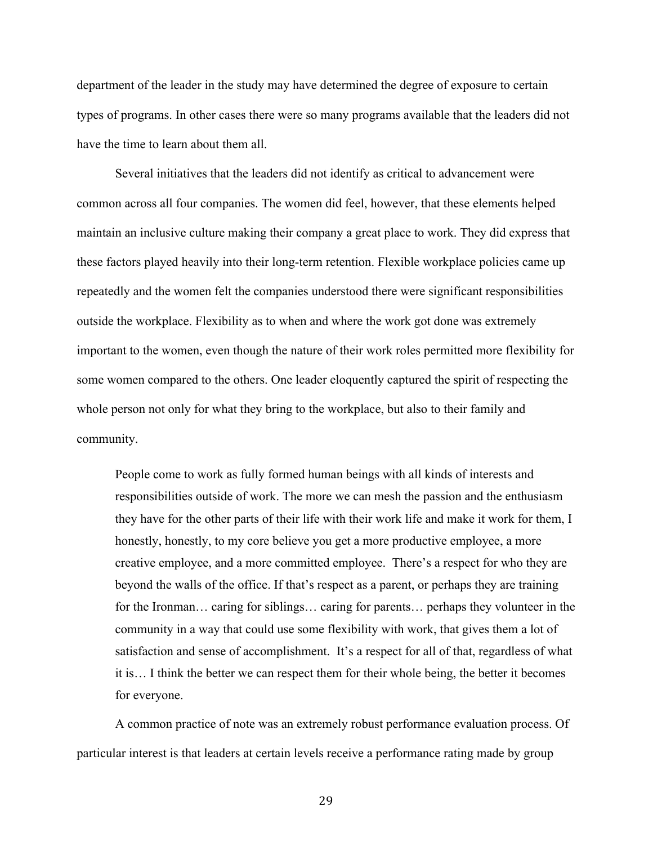department of the leader in the study may have determined the degree of exposure to certain types of programs. In other cases there were so many programs available that the leaders did not have the time to learn about them all.

Several initiatives that the leaders did not identify as critical to advancement were common across all four companies. The women did feel, however, that these elements helped maintain an inclusive culture making their company a great place to work. They did express that these factors played heavily into their long-term retention. Flexible workplace policies came up repeatedly and the women felt the companies understood there were significant responsibilities outside the workplace. Flexibility as to when and where the work got done was extremely important to the women, even though the nature of their work roles permitted more flexibility for some women compared to the others. One leader eloquently captured the spirit of respecting the whole person not only for what they bring to the workplace, but also to their family and community.

People come to work as fully formed human beings with all kinds of interests and responsibilities outside of work. The more we can mesh the passion and the enthusiasm they have for the other parts of their life with their work life and make it work for them, I honestly, honestly, to my core believe you get a more productive employee, a more creative employee, and a more committed employee. There's a respect for who they are beyond the walls of the office. If that's respect as a parent, or perhaps they are training for the Ironman... caring for siblings... caring for parents... perhaps they volunteer in the community in a way that could use some flexibility with work, that gives them a lot of satisfaction and sense of accomplishment. It's a respect for all of that, regardless of what it is… I think the better we can respect them for their whole being, the better it becomes for everyone.

A common practice of note was an extremely robust performance evaluation process. Of particular interest is that leaders at certain levels receive a performance rating made by group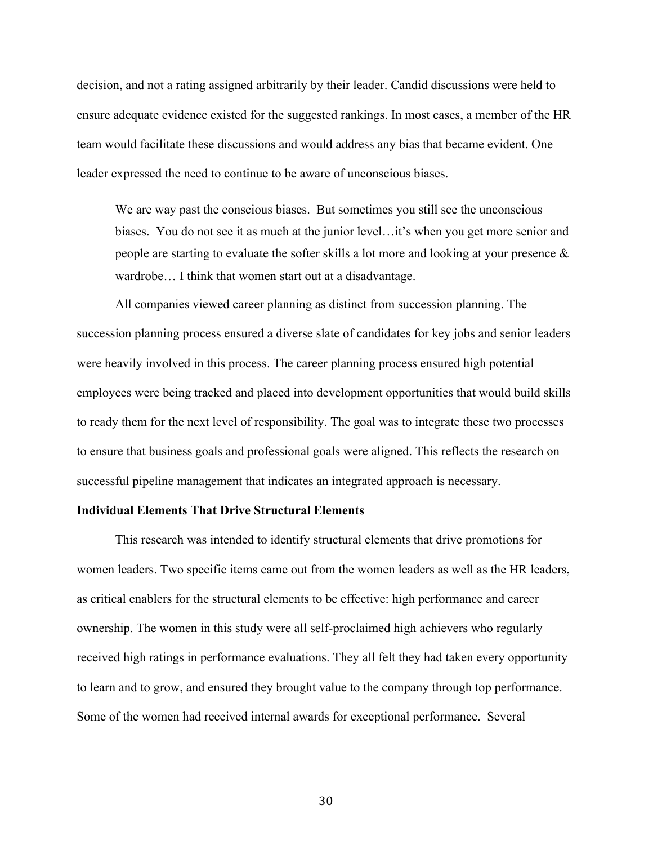decision, and not a rating assigned arbitrarily by their leader. Candid discussions were held to ensure adequate evidence existed for the suggested rankings. In most cases, a member of the HR team would facilitate these discussions and would address any bias that became evident. One leader expressed the need to continue to be aware of unconscious biases.

We are way past the conscious biases. But sometimes you still see the unconscious biases. You do not see it as much at the junior level... it's when you get more senior and people are starting to evaluate the softer skills a lot more and looking at your presence & wardrobe… I think that women start out at a disadvantage.

All companies viewed career planning as distinct from succession planning. The succession planning process ensured a diverse slate of candidates for key jobs and senior leaders were heavily involved in this process. The career planning process ensured high potential employees were being tracked and placed into development opportunities that would build skills to ready them for the next level of responsibility. The goal was to integrate these two processes to ensure that business goals and professional goals were aligned. This reflects the research on successful pipeline management that indicates an integrated approach is necessary.

#### **Individual Elements That Drive Structural Elements**

This research was intended to identify structural elements that drive promotions for women leaders. Two specific items came out from the women leaders as well as the HR leaders, as critical enablers for the structural elements to be effective: high performance and career ownership. The women in this study were all self-proclaimed high achievers who regularly received high ratings in performance evaluations. They all felt they had taken every opportunity to learn and to grow, and ensured they brought value to the company through top performance. Some of the women had received internal awards for exceptional performance. Several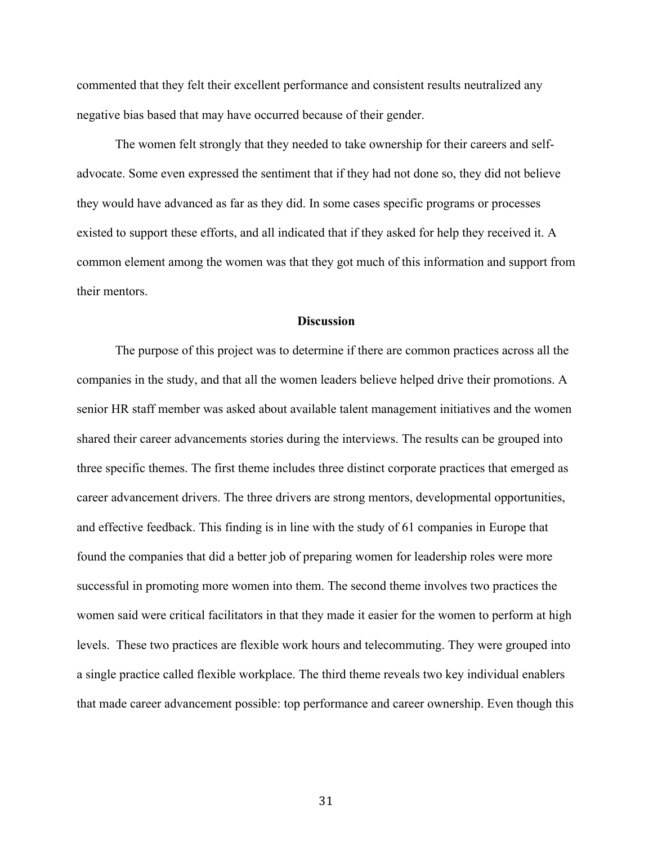commented that they felt their excellent performance and consistent results neutralized any negative bias based that may have occurred because of their gender.

The women felt strongly that they needed to take ownership for their careers and selfadvocate. Some even expressed the sentiment that if they had not done so, they did not believe they would have advanced as far as they did. In some cases specific programs or processes existed to support these efforts, and all indicated that if they asked for help they received it. A common element among the women was that they got much of this information and support from their mentors.

#### **Discussion**

The purpose of this project was to determine if there are common practices across all the companies in the study, and that all the women leaders believe helped drive their promotions. A senior HR staff member was asked about available talent management initiatives and the women shared their career advancements stories during the interviews. The results can be grouped into three specific themes. The first theme includes three distinct corporate practices that emerged as career advancement drivers. The three drivers are strong mentors, developmental opportunities, and effective feedback. This finding is in line with the study of 61 companies in Europe that found the companies that did a better job of preparing women for leadership roles were more successful in promoting more women into them. The second theme involves two practices the women said were critical facilitators in that they made it easier for the women to perform at high levels. These two practices are flexible work hours and telecommuting. They were grouped into a single practice called flexible workplace. The third theme reveals two key individual enablers that made career advancement possible: top performance and career ownership. Even though this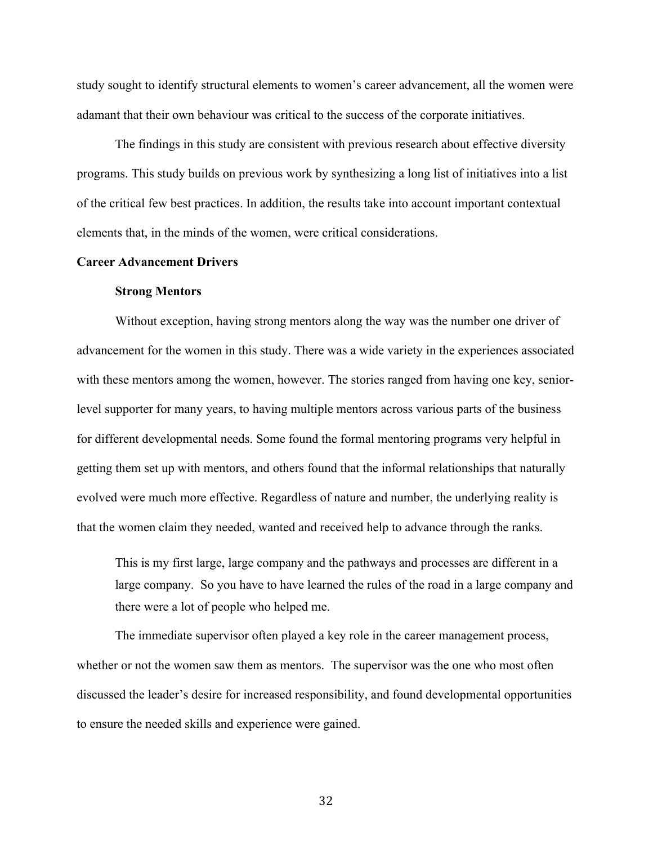study sought to identify structural elements to women's career advancement, all the women were adamant that their own behaviour was critical to the success of the corporate initiatives.

The findings in this study are consistent with previous research about effective diversity programs. This study builds on previous work by synthesizing a long list of initiatives into a list of the critical few best practices. In addition, the results take into account important contextual elements that, in the minds of the women, were critical considerations.

#### **Career Advancement Drivers**

#### **Strong Mentors**

Without exception, having strong mentors along the way was the number one driver of advancement for the women in this study. There was a wide variety in the experiences associated with these mentors among the women, however. The stories ranged from having one key, seniorlevel supporter for many years, to having multiple mentors across various parts of the business for different developmental needs. Some found the formal mentoring programs very helpful in getting them set up with mentors, and others found that the informal relationships that naturally evolved were much more effective. Regardless of nature and number, the underlying reality is that the women claim they needed, wanted and received help to advance through the ranks.

This is my first large, large company and the pathways and processes are different in a large company. So you have to have learned the rules of the road in a large company and there were a lot of people who helped me.

The immediate supervisor often played a key role in the career management process, whether or not the women saw them as mentors. The supervisor was the one who most often discussed the leader's desire for increased responsibility, and found developmental opportunities to ensure the needed skills and experience were gained.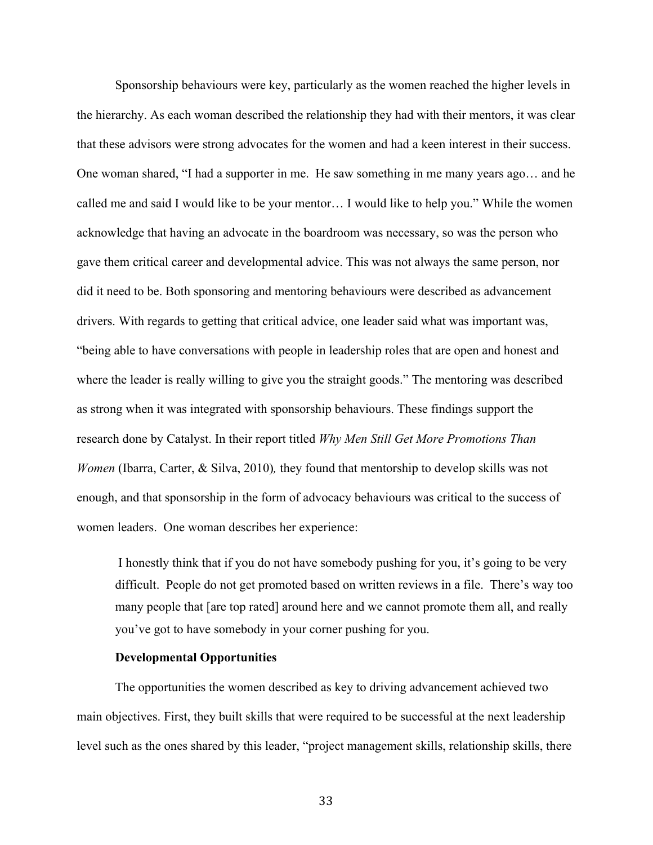Sponsorship behaviours were key, particularly as the women reached the higher levels in the hierarchy. As each woman described the relationship they had with their mentors, it was clear that these advisors were strong advocates for the women and had a keen interest in their success. One woman shared, "I had a supporter in me. He saw something in me many years ago… and he called me and said I would like to be your mentor… I would like to help you." While the women acknowledge that having an advocate in the boardroom was necessary, so was the person who gave them critical career and developmental advice. This was not always the same person, nor did it need to be. Both sponsoring and mentoring behaviours were described as advancement drivers. With regards to getting that critical advice, one leader said what was important was, "being able to have conversations with people in leadership roles that are open and honest and where the leader is really willing to give you the straight goods." The mentoring was described as strong when it was integrated with sponsorship behaviours. These findings support the research done by Catalyst. In their report titled *Why Men Still Get More Promotions Than Women* (Ibarra, Carter, & Silva, 2010)*,* they found that mentorship to develop skills was not enough, and that sponsorship in the form of advocacy behaviours was critical to the success of women leaders. One woman describes her experience:

I honestly think that if you do not have somebody pushing for you, it's going to be very difficult. People do not get promoted based on written reviews in a file. There's way too many people that [are top rated] around here and we cannot promote them all, and really you've got to have somebody in your corner pushing for you.

#### **Developmental Opportunities**

The opportunities the women described as key to driving advancement achieved two main objectives. First, they built skills that were required to be successful at the next leadership level such as the ones shared by this leader, "project management skills, relationship skills, there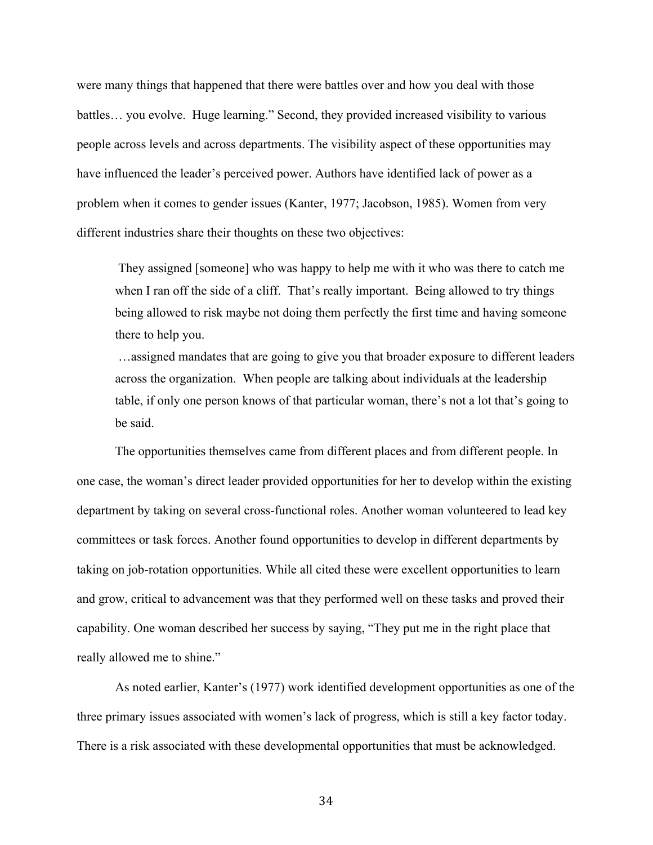were many things that happened that there were battles over and how you deal with those battles… you evolve. Huge learning." Second, they provided increased visibility to various people across levels and across departments. The visibility aspect of these opportunities may have influenced the leader's perceived power. Authors have identified lack of power as a problem when it comes to gender issues (Kanter, 1977; Jacobson, 1985). Women from very different industries share their thoughts on these two objectives:

They assigned [someone] who was happy to help me with it who was there to catch me when I ran off the side of a cliff. That's really important. Being allowed to try things being allowed to risk maybe not doing them perfectly the first time and having someone there to help you.

…assigned mandates that are going to give you that broader exposure to different leaders across the organization. When people are talking about individuals at the leadership table, if only one person knows of that particular woman, there's not a lot that's going to be said.

The opportunities themselves came from different places and from different people. In one case, the woman's direct leader provided opportunities for her to develop within the existing department by taking on several cross-functional roles. Another woman volunteered to lead key committees or task forces. Another found opportunities to develop in different departments by taking on job-rotation opportunities. While all cited these were excellent opportunities to learn and grow, critical to advancement was that they performed well on these tasks and proved their capability. One woman described her success by saying, "They put me in the right place that really allowed me to shine."

As noted earlier, Kanter's (1977) work identified development opportunities as one of the three primary issues associated with women's lack of progress, which is still a key factor today. There is a risk associated with these developmental opportunities that must be acknowledged.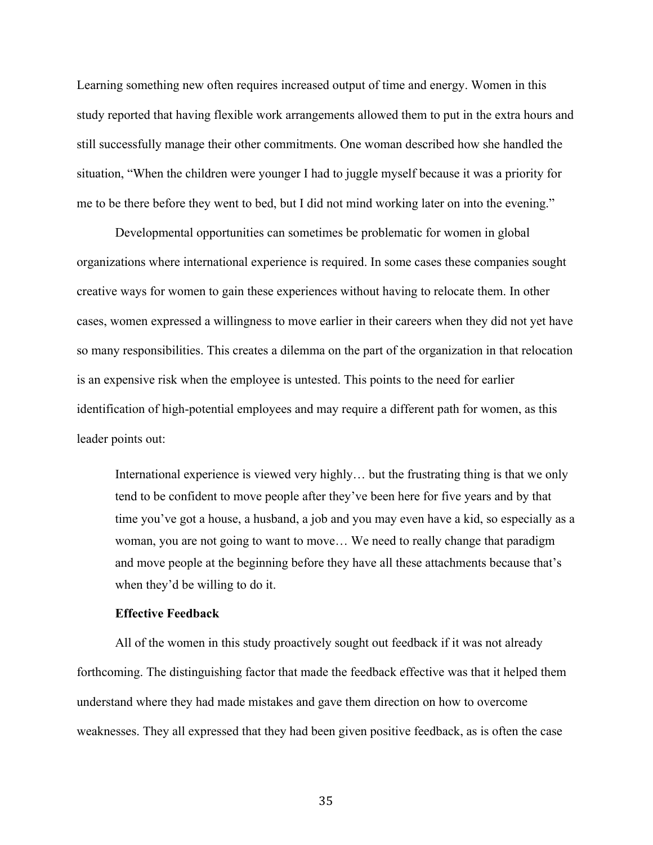Learning something new often requires increased output of time and energy. Women in this study reported that having flexible work arrangements allowed them to put in the extra hours and still successfully manage their other commitments. One woman described how she handled the situation, "When the children were younger I had to juggle myself because it was a priority for me to be there before they went to bed, but I did not mind working later on into the evening."

Developmental opportunities can sometimes be problematic for women in global organizations where international experience is required. In some cases these companies sought creative ways for women to gain these experiences without having to relocate them. In other cases, women expressed a willingness to move earlier in their careers when they did not yet have so many responsibilities. This creates a dilemma on the part of the organization in that relocation is an expensive risk when the employee is untested. This points to the need for earlier identification of high-potential employees and may require a different path for women, as this leader points out:

International experience is viewed very highly… but the frustrating thing is that we only tend to be confident to move people after they've been here for five years and by that time you've got a house, a husband, a job and you may even have a kid, so especially as a woman, you are not going to want to move… We need to really change that paradigm and move people at the beginning before they have all these attachments because that's when they'd be willing to do it.

#### **Effective Feedback**

All of the women in this study proactively sought out feedback if it was not already forthcoming. The distinguishing factor that made the feedback effective was that it helped them understand where they had made mistakes and gave them direction on how to overcome weaknesses. They all expressed that they had been given positive feedback, as is often the case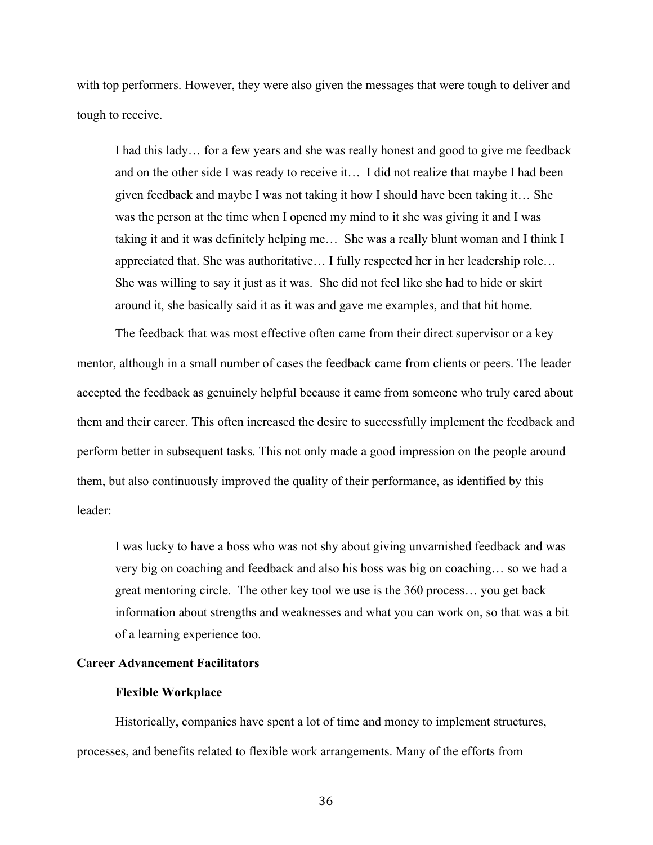with top performers. However, they were also given the messages that were tough to deliver and tough to receive.

I had this lady… for a few years and she was really honest and good to give me feedback and on the other side I was ready to receive it… I did not realize that maybe I had been given feedback and maybe I was not taking it how I should have been taking it… She was the person at the time when I opened my mind to it she was giving it and I was taking it and it was definitely helping me… She was a really blunt woman and I think I appreciated that. She was authoritative… I fully respected her in her leadership role… She was willing to say it just as it was. She did not feel like she had to hide or skirt around it, she basically said it as it was and gave me examples, and that hit home.

The feedback that was most effective often came from their direct supervisor or a key mentor, although in a small number of cases the feedback came from clients or peers. The leader accepted the feedback as genuinely helpful because it came from someone who truly cared about them and their career. This often increased the desire to successfully implement the feedback and perform better in subsequent tasks. This not only made a good impression on the people around them, but also continuously improved the quality of their performance, as identified by this leader:

I was lucky to have a boss who was not shy about giving unvarnished feedback and was very big on coaching and feedback and also his boss was big on coaching… so we had a great mentoring circle. The other key tool we use is the 360 process… you get back information about strengths and weaknesses and what you can work on, so that was a bit of a learning experience too.

### **Career Advancement Facilitators**

#### **Flexible Workplace**

Historically, companies have spent a lot of time and money to implement structures, processes, and benefits related to flexible work arrangements. Many of the efforts from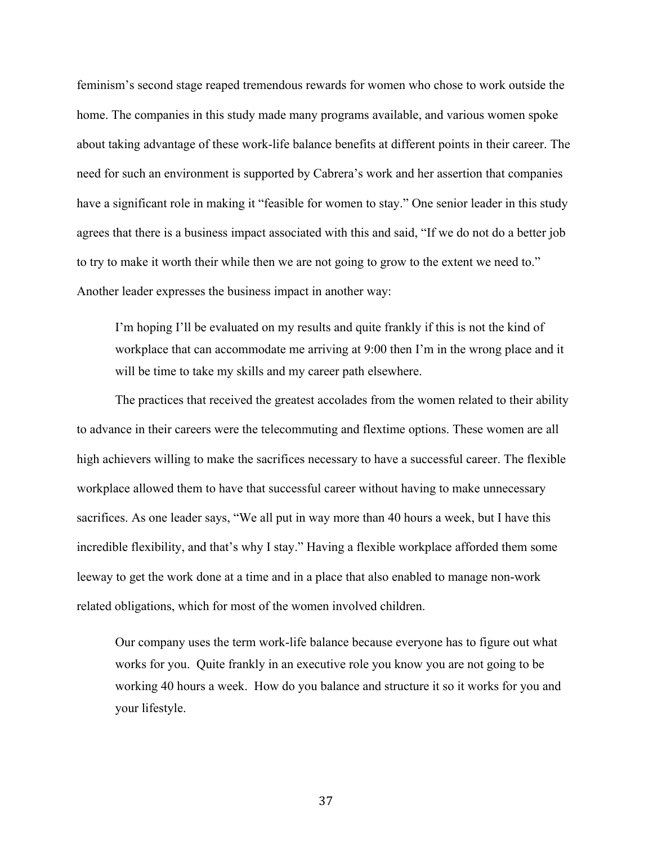feminism's second stage reaped tremendous rewards for women who chose to work outside the home. The companies in this study made many programs available, and various women spoke about taking advantage of these work-life balance benefits at different points in their career. The need for such an environment is supported by Cabrera's work and her assertion that companies have a significant role in making it "feasible for women to stay." One senior leader in this study agrees that there is a business impact associated with this and said, "If we do not do a better job to try to make it worth their while then we are not going to grow to the extent we need to." Another leader expresses the business impact in another way:

I'm hoping I'll be evaluated on my results and quite frankly if this is not the kind of workplace that can accommodate me arriving at 9:00 then I'm in the wrong place and it will be time to take my skills and my career path elsewhere.

The practices that received the greatest accolades from the women related to their ability to advance in their careers were the telecommuting and flextime options. These women are all high achievers willing to make the sacrifices necessary to have a successful career. The flexible workplace allowed them to have that successful career without having to make unnecessary sacrifices. As one leader says, "We all put in way more than 40 hours a week, but I have this incredible flexibility, and that's why I stay." Having a flexible workplace afforded them some leeway to get the work done at a time and in a place that also enabled to manage non-work related obligations, which for most of the women involved children.

Our company uses the term work-life balance because everyone has to figure out what works for you. Quite frankly in an executive role you know you are not going to be working 40 hours a week. How do you balance and structure it so it works for you and your lifestyle.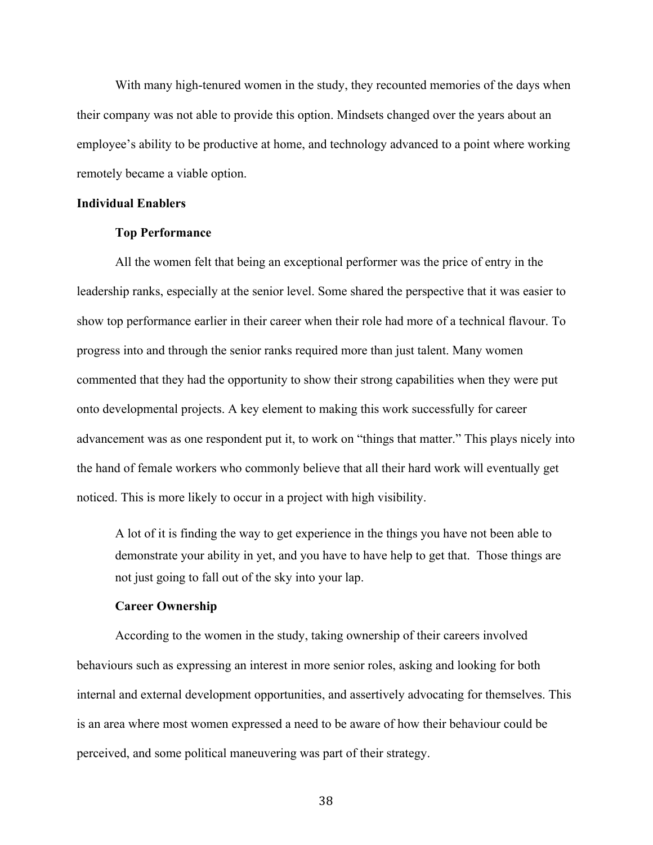With many high-tenured women in the study, they recounted memories of the days when their company was not able to provide this option. Mindsets changed over the years about an employee's ability to be productive at home, and technology advanced to a point where working remotely became a viable option.

#### **Individual Enablers**

#### **Top Performance**

All the women felt that being an exceptional performer was the price of entry in the leadership ranks, especially at the senior level. Some shared the perspective that it was easier to show top performance earlier in their career when their role had more of a technical flavour. To progress into and through the senior ranks required more than just talent. Many women commented that they had the opportunity to show their strong capabilities when they were put onto developmental projects. A key element to making this work successfully for career advancement was as one respondent put it, to work on "things that matter." This plays nicely into the hand of female workers who commonly believe that all their hard work will eventually get noticed. This is more likely to occur in a project with high visibility.

A lot of it is finding the way to get experience in the things you have not been able to demonstrate your ability in yet, and you have to have help to get that. Those things are not just going to fall out of the sky into your lap.

#### **Career Ownership**

According to the women in the study, taking ownership of their careers involved behaviours such as expressing an interest in more senior roles, asking and looking for both internal and external development opportunities, and assertively advocating for themselves. This is an area where most women expressed a need to be aware of how their behaviour could be perceived, and some political maneuvering was part of their strategy.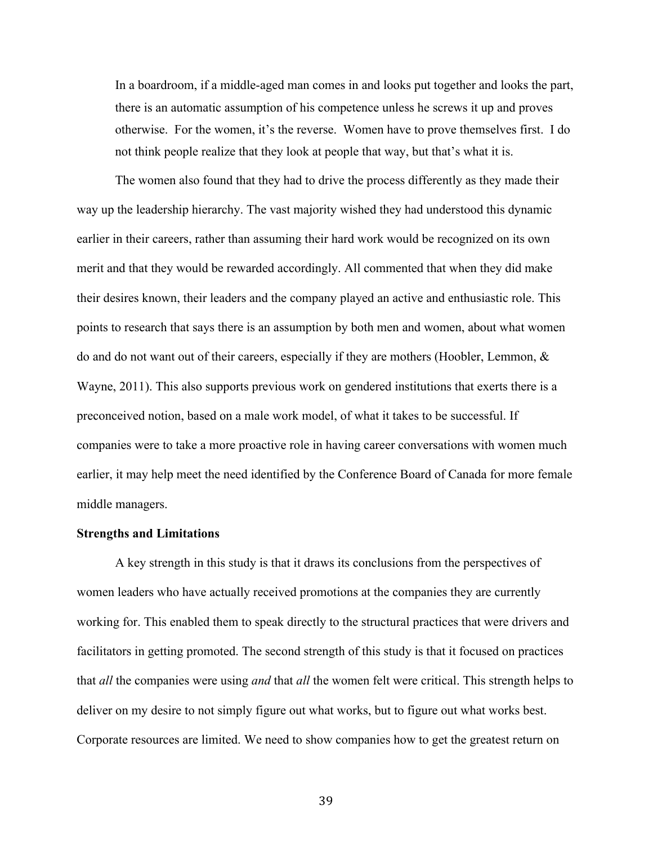In a boardroom, if a middle-aged man comes in and looks put together and looks the part, there is an automatic assumption of his competence unless he screws it up and proves otherwise. For the women, it's the reverse. Women have to prove themselves first. I do not think people realize that they look at people that way, but that's what it is.

The women also found that they had to drive the process differently as they made their way up the leadership hierarchy. The vast majority wished they had understood this dynamic earlier in their careers, rather than assuming their hard work would be recognized on its own merit and that they would be rewarded accordingly. All commented that when they did make their desires known, their leaders and the company played an active and enthusiastic role. This points to research that says there is an assumption by both men and women, about what women do and do not want out of their careers, especially if they are mothers (Hoobler, Lemmon, & Wayne, 2011). This also supports previous work on gendered institutions that exerts there is a preconceived notion, based on a male work model, of what it takes to be successful. If companies were to take a more proactive role in having career conversations with women much earlier, it may help meet the need identified by the Conference Board of Canada for more female middle managers.

#### **Strengths and Limitations**

A key strength in this study is that it draws its conclusions from the perspectives of women leaders who have actually received promotions at the companies they are currently working for. This enabled them to speak directly to the structural practices that were drivers and facilitators in getting promoted. The second strength of this study is that it focused on practices that *all* the companies were using *and* that *all* the women felt were critical. This strength helps to deliver on my desire to not simply figure out what works, but to figure out what works best. Corporate resources are limited. We need to show companies how to get the greatest return on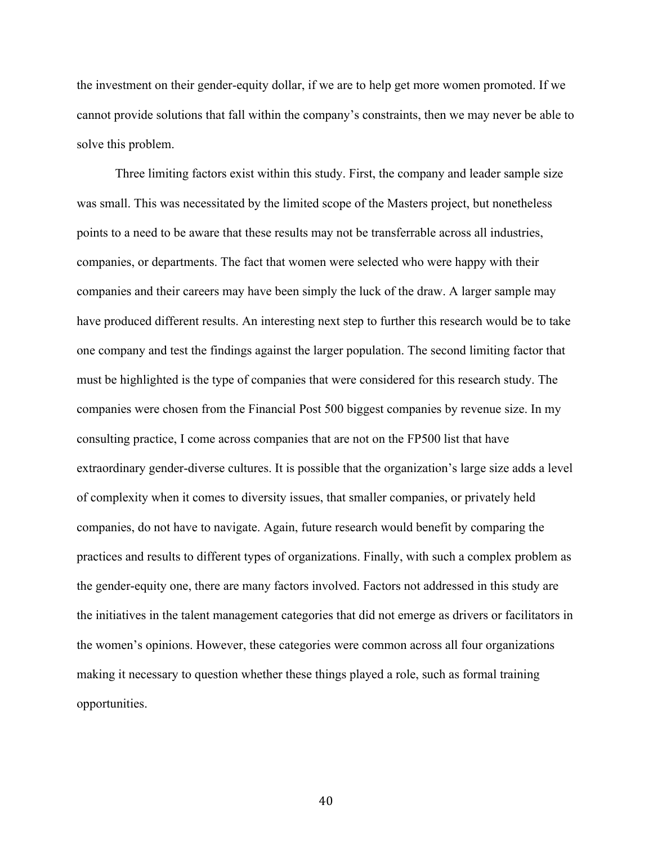the investment on their gender-equity dollar, if we are to help get more women promoted. If we cannot provide solutions that fall within the company's constraints, then we may never be able to solve this problem.

Three limiting factors exist within this study. First, the company and leader sample size was small. This was necessitated by the limited scope of the Masters project, but nonetheless points to a need to be aware that these results may not be transferrable across all industries, companies, or departments. The fact that women were selected who were happy with their companies and their careers may have been simply the luck of the draw. A larger sample may have produced different results. An interesting next step to further this research would be to take one company and test the findings against the larger population. The second limiting factor that must be highlighted is the type of companies that were considered for this research study. The companies were chosen from the Financial Post 500 biggest companies by revenue size. In my consulting practice, I come across companies that are not on the FP500 list that have extraordinary gender-diverse cultures. It is possible that the organization's large size adds a level of complexity when it comes to diversity issues, that smaller companies, or privately held companies, do not have to navigate. Again, future research would benefit by comparing the practices and results to different types of organizations. Finally, with such a complex problem as the gender-equity one, there are many factors involved. Factors not addressed in this study are the initiatives in the talent management categories that did not emerge as drivers or facilitators in the women's opinions. However, these categories were common across all four organizations making it necessary to question whether these things played a role, such as formal training opportunities.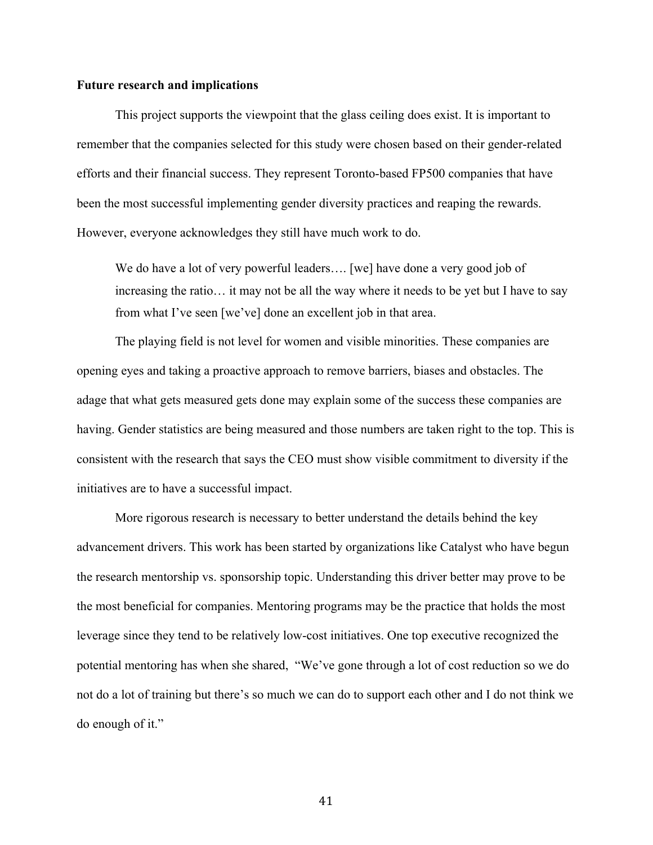#### **Future research and implications**

This project supports the viewpoint that the glass ceiling does exist. It is important to remember that the companies selected for this study were chosen based on their gender-related efforts and their financial success. They represent Toronto-based FP500 companies that have been the most successful implementing gender diversity practices and reaping the rewards. However, everyone acknowledges they still have much work to do.

We do have a lot of very powerful leaders.... [we] have done a very good job of increasing the ratio… it may not be all the way where it needs to be yet but I have to say from what I've seen [we've] done an excellent job in that area.

The playing field is not level for women and visible minorities. These companies are opening eyes and taking a proactive approach to remove barriers, biases and obstacles. The adage that what gets measured gets done may explain some of the success these companies are having. Gender statistics are being measured and those numbers are taken right to the top. This is consistent with the research that says the CEO must show visible commitment to diversity if the initiatives are to have a successful impact.

More rigorous research is necessary to better understand the details behind the key advancement drivers. This work has been started by organizations like Catalyst who have begun the research mentorship vs. sponsorship topic. Understanding this driver better may prove to be the most beneficial for companies. Mentoring programs may be the practice that holds the most leverage since they tend to be relatively low-cost initiatives. One top executive recognized the potential mentoring has when she shared, "We've gone through a lot of cost reduction so we do not do a lot of training but there's so much we can do to support each other and I do not think we do enough of it."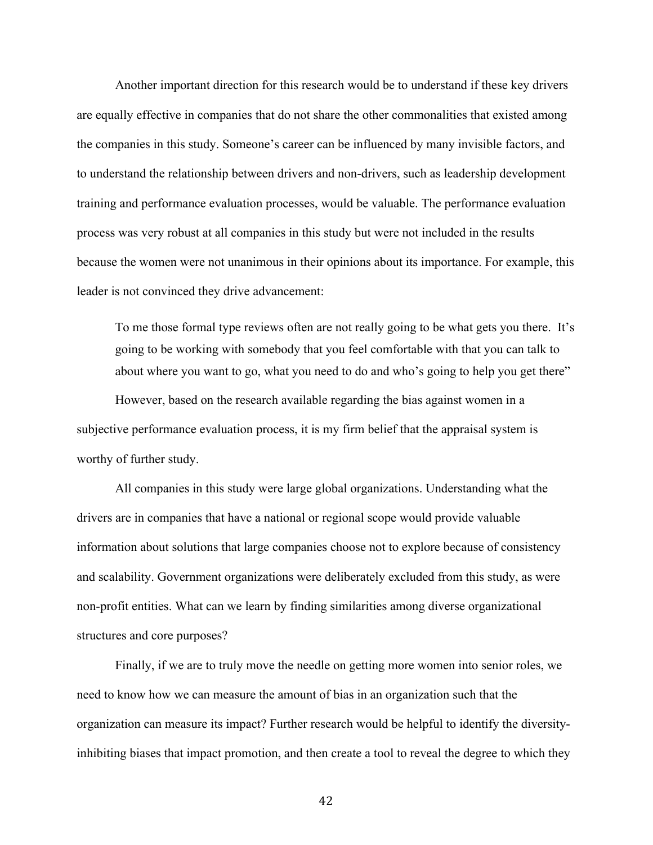Another important direction for this research would be to understand if these key drivers are equally effective in companies that do not share the other commonalities that existed among the companies in this study. Someone's career can be influenced by many invisible factors, and to understand the relationship between drivers and non-drivers, such as leadership development training and performance evaluation processes, would be valuable. The performance evaluation process was very robust at all companies in this study but were not included in the results because the women were not unanimous in their opinions about its importance. For example, this leader is not convinced they drive advancement:

To me those formal type reviews often are not really going to be what gets you there. It's going to be working with somebody that you feel comfortable with that you can talk to about where you want to go, what you need to do and who's going to help you get there"

However, based on the research available regarding the bias against women in a subjective performance evaluation process, it is my firm belief that the appraisal system is worthy of further study.

All companies in this study were large global organizations. Understanding what the drivers are in companies that have a national or regional scope would provide valuable information about solutions that large companies choose not to explore because of consistency and scalability. Government organizations were deliberately excluded from this study, as were non-profit entities. What can we learn by finding similarities among diverse organizational structures and core purposes?

Finally, if we are to truly move the needle on getting more women into senior roles, we need to know how we can measure the amount of bias in an organization such that the organization can measure its impact? Further research would be helpful to identify the diversityinhibiting biases that impact promotion, and then create a tool to reveal the degree to which they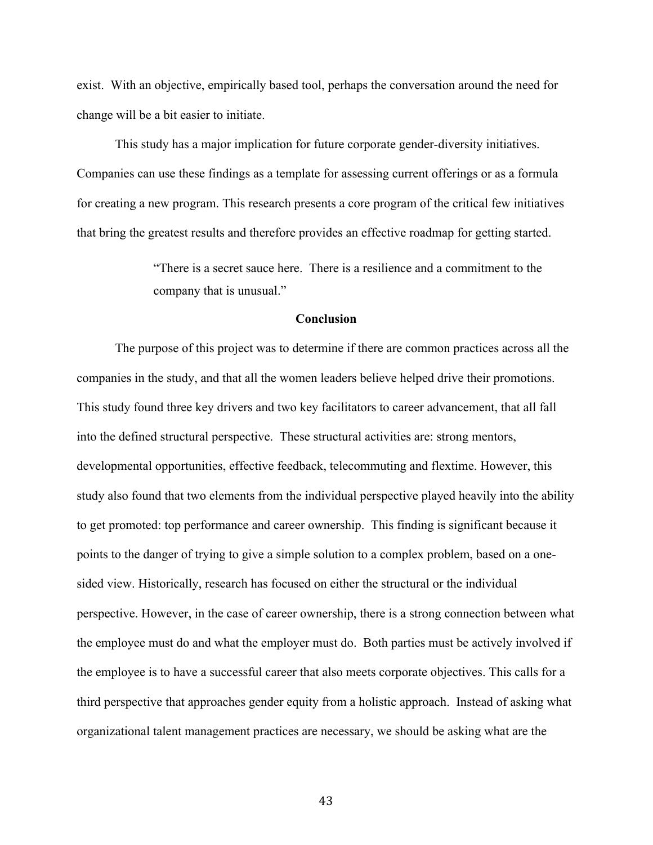exist. With an objective, empirically based tool, perhaps the conversation around the need for change will be a bit easier to initiate.

This study has a major implication for future corporate gender-diversity initiatives. Companies can use these findings as a template for assessing current offerings or as a formula for creating a new program. This research presents a core program of the critical few initiatives that bring the greatest results and therefore provides an effective roadmap for getting started.

> "There is a secret sauce here. There is a resilience and a commitment to the company that is unusual."

#### **Conclusion**

The purpose of this project was to determine if there are common practices across all the companies in the study, and that all the women leaders believe helped drive their promotions. This study found three key drivers and two key facilitators to career advancement, that all fall into the defined structural perspective. These structural activities are: strong mentors, developmental opportunities, effective feedback, telecommuting and flextime. However, this study also found that two elements from the individual perspective played heavily into the ability to get promoted: top performance and career ownership. This finding is significant because it points to the danger of trying to give a simple solution to a complex problem, based on a onesided view. Historically, research has focused on either the structural or the individual perspective. However, in the case of career ownership, there is a strong connection between what the employee must do and what the employer must do. Both parties must be actively involved if the employee is to have a successful career that also meets corporate objectives. This calls for a third perspective that approaches gender equity from a holistic approach. Instead of asking what organizational talent management practices are necessary, we should be asking what are the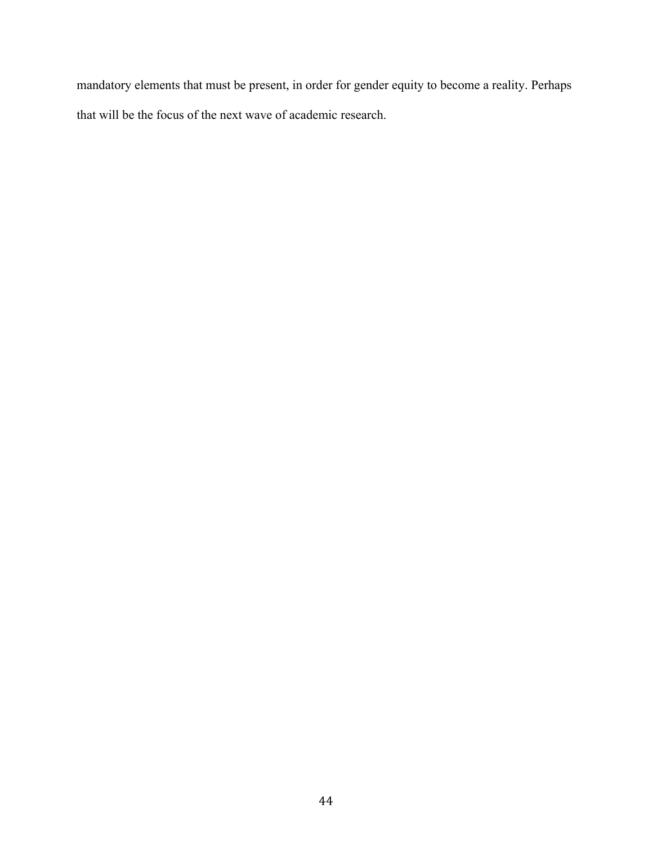mandatory elements that must be present, in order for gender equity to become a reality. Perhaps that will be the focus of the next wave of academic research.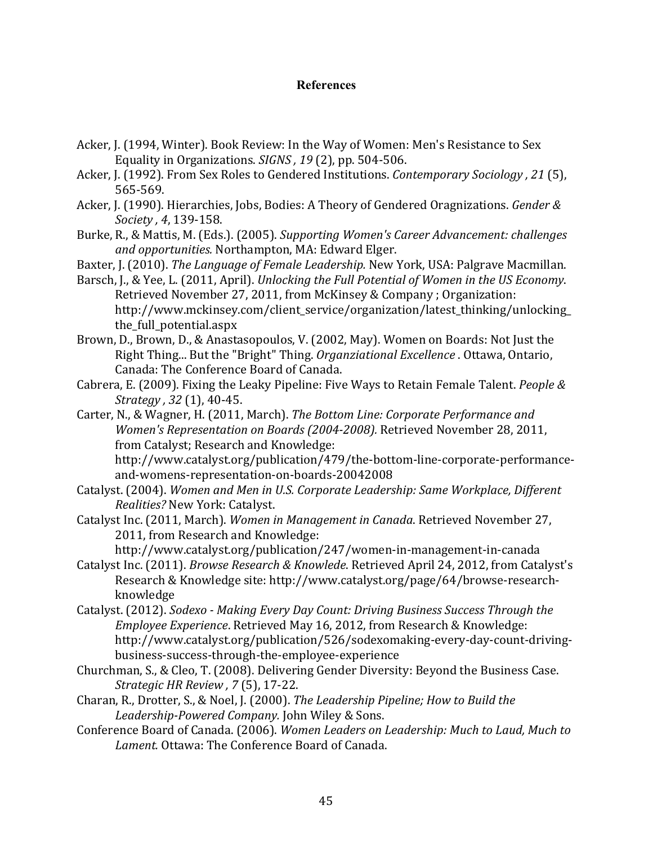### **References**

- Acker, J. (1994, Winter). Book Review: In the Way of Women: Men's Resistance to Sex Equality in Organizations. *SIGNS*, 19(2), pp. 504-506.
- Acker, J. (1992). From Sex Roles to Gendered Institutions. Contemporary Sociology, 21 (5), 565-569.
- Acker, J. (1990). Hierarchies, Jobs, Bodies: A Theory of Gendered Oragnizations. *Gender & Society , 4*, 139-158.
- Burke, R., & Mattis, M. (Eds.). (2005). *Supporting Women's Career Advancement: challenges* and opportunities. Northampton, MA: Edward Elger.
- Baxter, J. (2010). *The Language of Female Leadership.* New York, USA: Palgrave Macmillan.
- Barsch, J., & Yee, L. (2011, April). *Unlocking the Full Potential of Women in the US Economy*. Retrieved November 27, 2011, from McKinsey & Company ; Organization: http://www.mckinsey.com/client\_service/organization/latest\_thinking/unlocking\_ the full potential.aspx
- Brown, D., Brown, D., & Anastasopoulos, V. (2002, May). Women on Boards: Not Just the Right Thing... But the "Bright" Thing. Organziational Excellence . Ottawa, Ontario, Canada: The Conference Board of Canada.
- Cabrera, E. (2009). Fixing the Leaky Pipeline: Five Ways to Retain Female Talent. *People & Strategy*, 32 (1), 40-45.
- Carter, N., & Wagner, H. (2011, March). The Bottom Line: Corporate Performance and *Women's Representation on Boards (2004-2008).* Retrieved November 28, 2011, from Catalyst; Research and Knowledge:

http://www.catalyst.org/publication/479/the-bottom-line-corporate-performanceand-womens-representation-on-boards-20042008

- Catalyst. (2004). Women and Men in U.S. Corporate Leadership: Same Workplace, Different *Realities?* New York: Catalyst.
- Catalyst Inc. (2011, March). Women in Management in Canada. Retrieved November 27, 2011, from Research and Knowledge:

http://www.catalyst.org/publication/247/women-in-management-in-canada

- Catalyst Inc. (2011). *Browse Research & Knowlede*. Retrieved April 24, 2012, from Catalyst's Research & Knowledge site: http://www.catalyst.org/page/64/browse-researchknowledge
- Catalyst. (2012). *Sodexo Making Every Day Count: Driving Business Success Through the Employee Experience*. Retrieved May 16, 2012, from Research & Knowledge: http://www.catalyst.org/publication/526/sodexomaking-every-day-count-drivingbusiness-success-through-the-employee-experience
- Churchman, S., & Cleo, T. (2008). Delivering Gender Diversity: Beyond the Business Case. *Strategic HR Review , 7* (5), 17-22.
- Charan, R., Drotter, S., & Noel, J. (2000). *The Leadership Pipeline; How to Build the* Leadership-Powered Company. John Wiley & Sons.
- Conference Board of Canada. (2006). *Women Leaders on Leadership: Much to Laud, Much to* Lament. Ottawa: The Conference Board of Canada.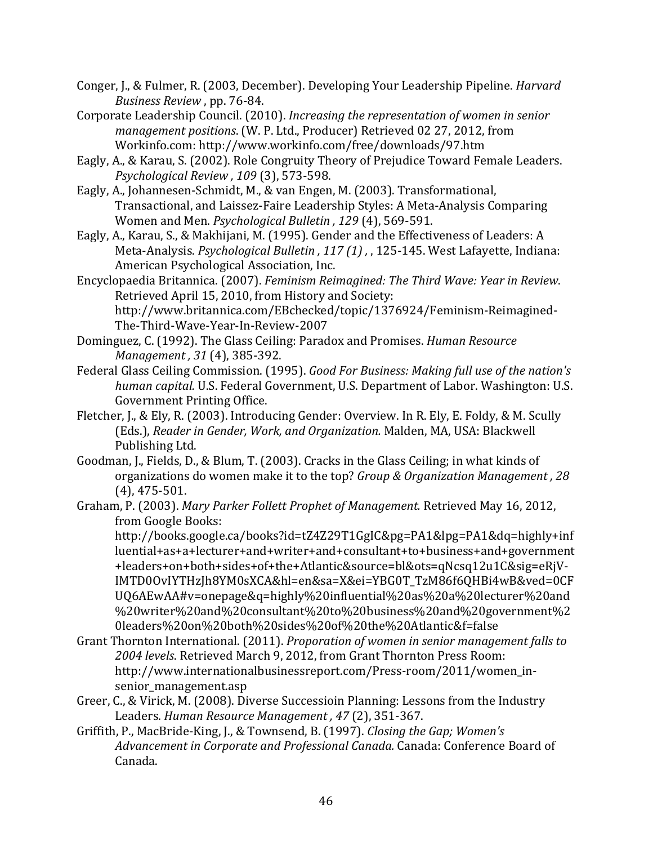- Conger, J., & Fulmer, R. (2003, December). Developing Your Leadership Pipeline. *Harvard Business Review*, pp. 76-84.
- Corporate Leadership Council. (2010). *Increasing the representation of women in senior management positions.* (W. P. Ltd., Producer) Retrieved 02 27, 2012, from Workinfo.com: http://www.workinfo.com/free/downloads/97.htm
- Eagly, A., & Karau, S. (2002). Role Congruity Theory of Prejudice Toward Female Leaders. *Psychological Review , 109* (3), 573-598.
- Eagly, A., Johannesen-Schmidt, M., & van Engen, M. (2003). Transformational, Transactional, and Laissez-Faire Leadership Styles: A Meta-Analysis Comparing Women and Men. Psychological Bulletin, 129 (4), 569-591.
- Eagly, A., Karau, S., & Makhijani, M. (1995). Gender and the Effectiveness of Leaders: A Meta-Analysis. Psychological Bulletin, 117(1), 125-145. West Lafayette, Indiana: American Psychological Association, Inc.
- Encyclopaedia Britannica. (2007). *Feminism Reimagined: The Third Wave: Year in Review*. Retrieved April 15, 2010, from History and Society: http://www.britannica.com/EBchecked/topic/1376924/Feminism-Reimagined-The-Third-Wave-Year-In-Review-2007
- Dominguez, C. (1992). The Glass Ceiling: Paradox and Promises. *Human Resource Management*, 31 (4), 385-392.
- Federal Glass Ceiling Commission. (1995). *Good For Business: Making full use of the nation's human capital.* U.S. Federal Government, U.S. Department of Labor. Washington: U.S. Government Printing Office.
- Fletcher, J., & Ely, R. (2003). Introducing Gender: Overview. In R. Ely, E. Foldy, & M. Scully (Eds.), *Reader in Gender, Work, and Organization.* Malden, MA, USA: Blackwell Publishing Ltd.
- Goodman, J., Fields, D., & Blum, T. (2003). Cracks in the Glass Ceiling; in what kinds of organizations do women make it to the top? *Group & Organization Management* , 28  $(4)$ , 475-501.
- Graham, P. (2003). *Mary Parker Follett Prophet of Management.* Retrieved May 16, 2012, from Google Books:

http://books.google.ca/books?id=tZ4Z29T1GgIC&pg=PA1&lpg=PA1&dq=highly+inf luential+as+a+lecturer+and+writer+and+consultant+to+business+and+government +leaders+on+both+sides+of+the+Atlantic&source=bl&ots=qNcsq12u1C&sig=eRjV-IMTD0OvIYTHzJh8YM0sXCA&hl=en&sa=X&ei=YBG0T\_TzM86f6QHBi4wB&ved=0CF UQ6AEwAA#v=onepage&q=highly%20influential%20as%20a%20lecturer%20and %20writer%20and%20consultant%20to%20business%20and%20government%2 0leaders%20on%20both%20sides%20of%20the%20Atlantic&f=false

- Grant Thornton International. (2011). *Proporation of women in senior management falls to* 2004 levels. Retrieved March 9, 2012, from Grant Thornton Press Room: http://www.internationalbusinessreport.com/Press-room/2011/women\_insenior\_management.asp
- Greer, C., & Virick, M. (2008). Diverse Successioin Planning: Lessons from the Industry Leaders. *Human Resource Management*, 47(2), 351-367.
- Griffith, P., MacBride-King, J., & Townsend, B. (1997). *Closing the Gap; Women's* Advancement in Corporate and Professional Canada. Canada: Conference Board of Canada.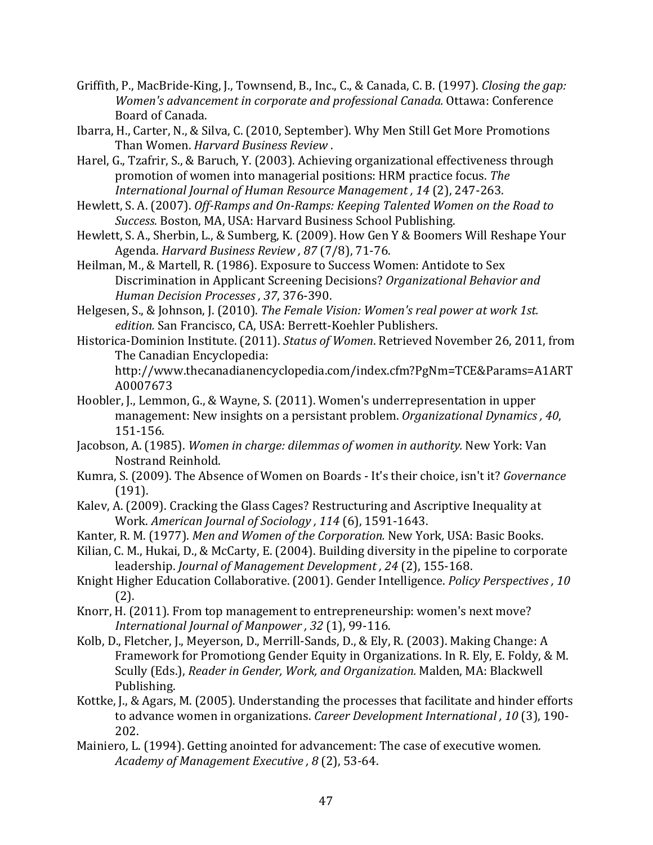- Griffith, P., MacBride-King, J., Townsend, B., Inc., C., & Canada, C. B. (1997). *Closing the gap: Women's advancement in corporate and professional Canada.* Ottawa: Conference Board of Canada.
- Ibarra, H., Carter, N., & Silva, C. (2010, September). Why Men Still Get More Promotions Than Women. *Harvard Business Review* .
- Harel, G., Tzafrir, S., & Baruch, Y. (2003). Achieving organizational effectiveness through promotion of women into managerial positions: HRM practice focus. The *International Journal of Human Resource Management , 14* (2), 247-263.
- Hewlett, S. A. (2007). *Off-Ramps and On-Ramps: Keeping Talented Women on the Road to* Success. Boston, MA, USA: Harvard Business School Publishing.
- Hewlett, S. A., Sherbin, L., & Sumberg, K. (2009). How Gen Y & Boomers Will Reshape Your Agenda. *Harvard Business Review*, 87 (7/8), 71-76.
- Heilman, M., & Martell, R. (1986). Exposure to Success Women: Antidote to Sex Discrimination in Applicant Screening Decisions? Organizational Behavior and *Human Decision Processes*, 37, 376-390.
- Helgesen, S., & Johnson, J. (2010). *The Female Vision: Women's real power at work 1st.* edition. San Francisco, CA, USA: Berrett-Koehler Publishers.
- Historica-Dominion Institute. (2011). *Status of Women*. Retrieved November 26, 2011, from The Canadian Encyclopedia:

http://www.thecanadianencyclopedia.com/index.cfm?PgNm=TCE&Params=A1ART A0007673

- Hoobler, J., Lemmon, G., & Wayne, S. (2011). Women's underrepresentation in upper management: New insights on a persistant problem. *Organizational Dynamics*, 40, 151-156.
- Jacobson, A. (1985). *Women in charge: dilemmas of women in authority.* New York: Van Nostrand Reinhold.
- Kumra, S. (2009). The Absence of Women on Boards It's their choice, isn't it? *Governance* (191).
- Kaley, A. (2009). Cracking the Glass Cages? Restructuring and Ascriptive Inequality at Work. American Journal of Sociology, 114 (6), 1591-1643.
- Kanter, R. M. (1977). *Men and Women of the Corporation.* New York, USA: Basic Books.
- Kilian, C. M., Hukai, D., & McCarty, E. (2004). Building diversity in the pipeline to corporate leadership. *Journal of Management Development*, 24(2), 155-168.
- Knight Higher Education Collaborative. (2001). Gender Intelligence. *Policy Perspectives*, 10 (2).
- Knorr, H. (2011). From top management to entrepreneurship: women's next move? *International Journal of Manpower*, 32 (1), 99-116.
- Kolb, D., Fletcher, J., Meyerson, D., Merrill-Sands, D., & Ely, R. (2003). Making Change: A Framework for Promotiong Gender Equity in Organizations. In R. Ely, E. Foldy, & M. Scully (Eds.), *Reader in Gender, Work, and Organization.* Malden, MA: Blackwell Publishing.
- Kottke,  $I, \&$  Agars, M. (2005). Understanding the processes that facilitate and hinder efforts to advance women in organizations. *Career Development International*, 10(3), 190-202.
- Mainiero, L. (1994). Getting anointed for advancement: The case of executive women. *Academy of Management Executive , 8* (2), 53-64.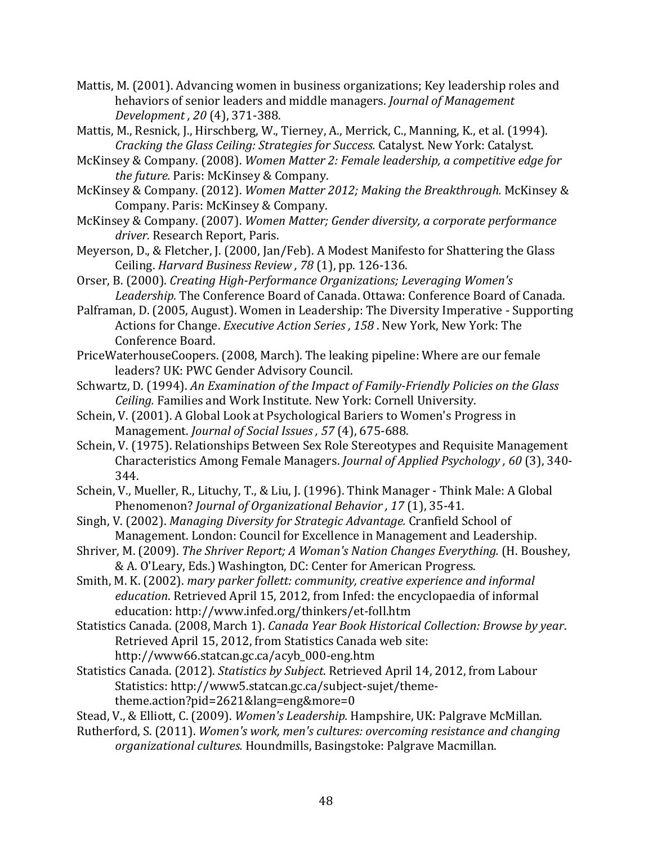- Mattis, M. (2001). Advancing women in business organizations; Key leadership roles and hehaviors of senior leaders and middle managers. *Journal of Management Development , 20* (4), 371-388.
- Mattis, M., Resnick, J., Hirschberg, W., Tierney, A., Merrick, C., Manning, K., et al. (1994). *Cracking the Glass Ceiling: Strategies for Success. Catalyst. New York: Catalyst.*

McKinsey & Company. (2008). *Women Matter 2: Female leadership, a competitive edge for the future.* Paris: McKinsey & Company.

- McKinsey & Company. (2012). *Women Matter 2012; Making the Breakthrough.* McKinsey & Company. Paris: McKinsey & Company.
- McKinsey & Company. (2007). Women Matter; Gender diversity, a corporate performance driver. Research Report. Paris.
- Meyerson, D., & Fletcher, J. (2000, Jan/Feb). A Modest Manifesto for Shattering the Glass Ceiling. *Harvard Business Review* , 78 (1), pp. 126-136.
- Orser, B. (2000). *Creating High-Performance Organizations; Leveraging Women's* Leadership. The Conference Board of Canada. Ottawa: Conference Board of Canada.
- Palframan, D. (2005, August). Women in Leadership: The Diversity Imperative Supporting Actions for Change. *Executive Action Series*, 158. New York, New York: The Conference Board.
- PriceWaterhouseCoopers. (2008, March). The leaking pipeline: Where are our female leaders? UK: PWC Gender Advisory Council.
- Schwartz, D. (1994). An Examination of the Impact of Family-Friendly Policies on the Glass Ceiling. Families and Work Institute. New York: Cornell University.
- Schein, V. (2001). A Global Look at Psychological Bariers to Women's Progress in Management. *Journal of Social Issues* , 57 (4), 675-688.
- Schein, V. (1975). Relationships Between Sex Role Stereotypes and Requisite Management Characteristics Among Female Managers. *Journal of Applied Psychology* , 60 (3), 340-344.
- Schein, V., Mueller, R., Lituchy, T., & Liu, J. (1996). Think Manager Think Male: A Global Phenomenon? *Journal of Organizational Behavior*, 17(1), 35-41.
- Singh, V. (2002). *Managing Diversity for Strategic Advantage.* Cranfield School of Management. London: Council for Excellence in Management and Leadership.
- Shriver, M. (2009). *The Shriver Report; A Woman's Nation Changes Everything.* (H. Boushey, & A. O'Leary, Eds.) Washington, DC: Center for American Progress.
- Smith, M. K. (2002). *mary parker follett: community, creative experience and informal education*. Retrieved April 15, 2012, from Infed: the encyclopaedia of informal education: http://www.infed.org/thinkers/et-foll.htm
- Statistics Canada. (2008, March 1). *Canada Year Book Historical Collection: Browse by year.* Retrieved April 15, 2012, from Statistics Canada web site: http://www66.statcan.gc.ca/acyb\_000-eng.htm
- Statistics Canada. (2012). *Statistics by Subject*. Retrieved April 14, 2012, from Labour Statistics: http://www5.statcan.gc.ca/subject-sujet/themetheme.action?pid=2621&lang=eng&more=0
- Stead, V., & Elliott, C. (2009). *Women's Leadership.* Hampshire, UK: Palgrave McMillan.
- Rutherford, S. (2011). *Women's work, men's cultures: overcoming resistance and changing organizational cultures.* Houndmills, Basingstoke: Palgrave Macmillan.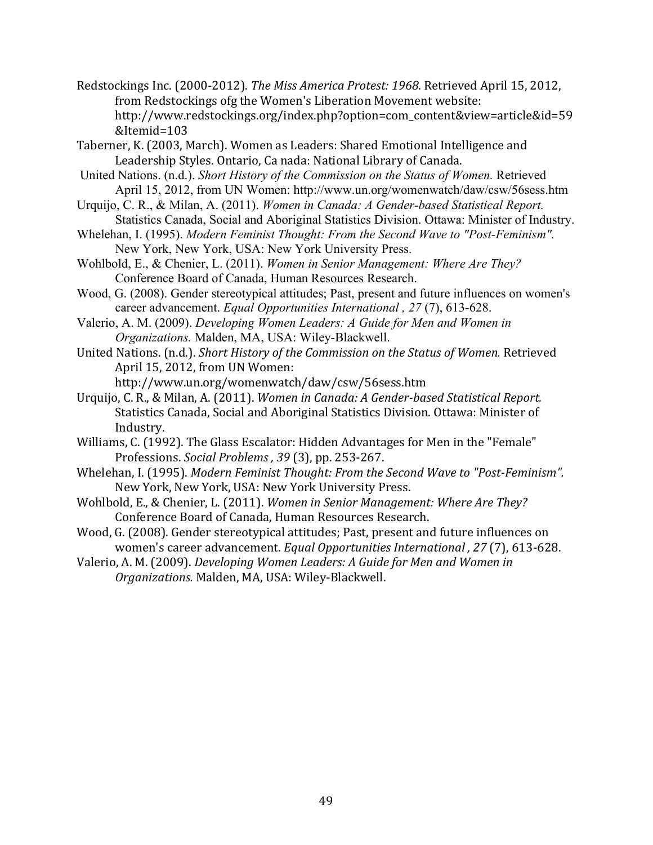Redstockings Inc. (2000-2012). *The Miss America Protest: 1968*. Retrieved April 15, 2012, from Redstockings ofg the Women's Liberation Movement website: http://www.redstockings.org/index.php?option=com\_content&view=article&id=59 &Itemid=103

Taberner, K. (2003, March). Women as Leaders: Shared Emotional Intelligence and Leadership Styles. Ontario, Ca nada: National Library of Canada.

United Nations. (n.d.). *Short History of the Commission on the Status of Women.* Retrieved April 15, 2012, from UN Women: http://www.un.org/womenwatch/daw/csw/56sess.htm

Urquijo, C. R., & Milan, A. (2011). *Women in Canada: A Gender-based Statistical Report.* Statistics Canada, Social and Aboriginal Statistics Division. Ottawa: Minister of Industry.

Whelehan, I. (1995). *Modern Feminist Thought: From the Second Wave to "Post-Feminism".* New York, New York, USA: New York University Press.

Wohlbold, E., & Chenier, L. (2011). *Women in Senior Management: Where Are They?* Conference Board of Canada, Human Resources Research.

Wood, G. (2008). Gender stereotypical attitudes; Past, present and future influences on women's career advancement. *Equal Opportunities International , 27* (7), 613-628.

Valerio, A. M. (2009). *Developing Women Leaders: A Guide for Men and Women in Organizations.* Malden, MA, USA: Wiley-Blackwell.

United Nations. (n.d.). *Short History of the Commission on the Status of Women.* Retrieved April 15, 2012, from UN Women:

http://www.un.org/womenwatch/daw/csw/56sess.htm

Urquijo, C. R., & Milan, A. (2011). *Women in Canada: A Gender-based Statistical Report.* Statistics Canada, Social and Aboriginal Statistics Division. Ottawa: Minister of Industry.

Williams, C. (1992). The Glass Escalator: Hidden Advantages for Men in the "Female" Professions. *Social Problems , 39* (3), pp. 253-267.

Whelehan, I. (1995). *Modern Feminist Thought: From the Second Wave to "Post-Feminism".* New York, New York, USA: New York University Press.

Wohlbold, E., & Chenier, L. (2011). *Women in Senior Management: Where Are They?* Conference Board of Canada, Human Resources Research.

Wood, G. (2008). Gender stereotypical attitudes; Past, present and future influences on women's career advancement. *Equal Opportunities International*, 27(7), 613-628.

Valerio, A. M. (2009). *Developing Women Leaders: A Guide for Men and Women in Organizations.* Malden, MA, USA: Wiley-Blackwell.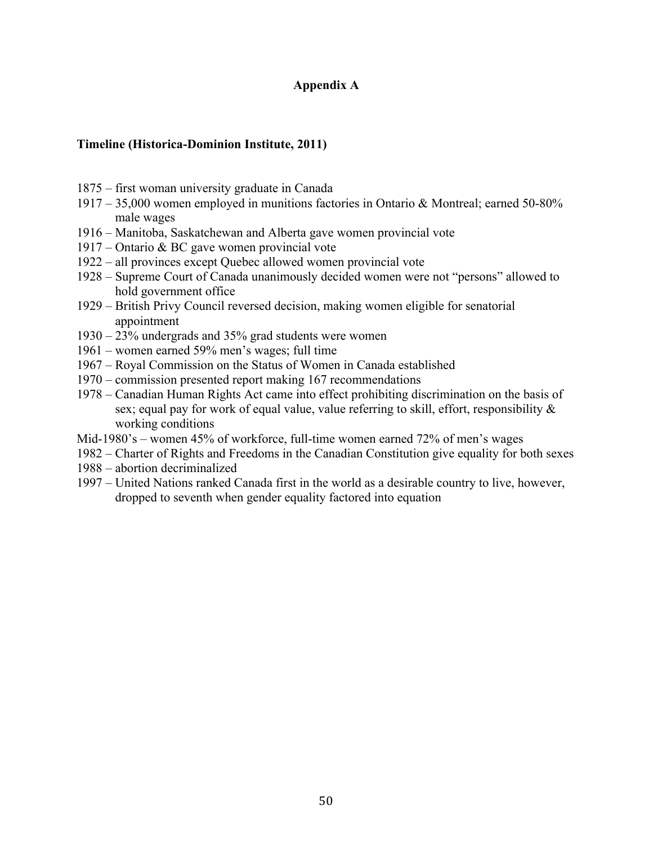### **Appendix A**

### **Timeline (Historica-Dominion Institute, 2011)**

- 1875 first woman university graduate in Canada
- 1917 35,000 women employed in munitions factories in Ontario & Montreal; earned 50-80% male wages
- 1916 Manitoba, Saskatchewan and Alberta gave women provincial vote
- 1917 Ontario & BC gave women provincial vote
- 1922 all provinces except Quebec allowed women provincial vote
- 1928 Supreme Court of Canada unanimously decided women were not "persons" allowed to hold government office
- 1929 British Privy Council reversed decision, making women eligible for senatorial appointment
- 1930 23% undergrads and 35% grad students were women
- 1961 women earned 59% men's wages; full time
- 1967 Royal Commission on the Status of Women in Canada established
- 1970 commission presented report making 167 recommendations
- 1978 Canadian Human Rights Act came into effect prohibiting discrimination on the basis of sex; equal pay for work of equal value, value referring to skill, effort, responsibility  $\&$ working conditions
- Mid-1980's women 45% of workforce, full-time women earned 72% of men's wages
- 1982 Charter of Rights and Freedoms in the Canadian Constitution give equality for both sexes
- 1988 abortion decriminalized
- 1997 United Nations ranked Canada first in the world as a desirable country to live, however, dropped to seventh when gender equality factored into equation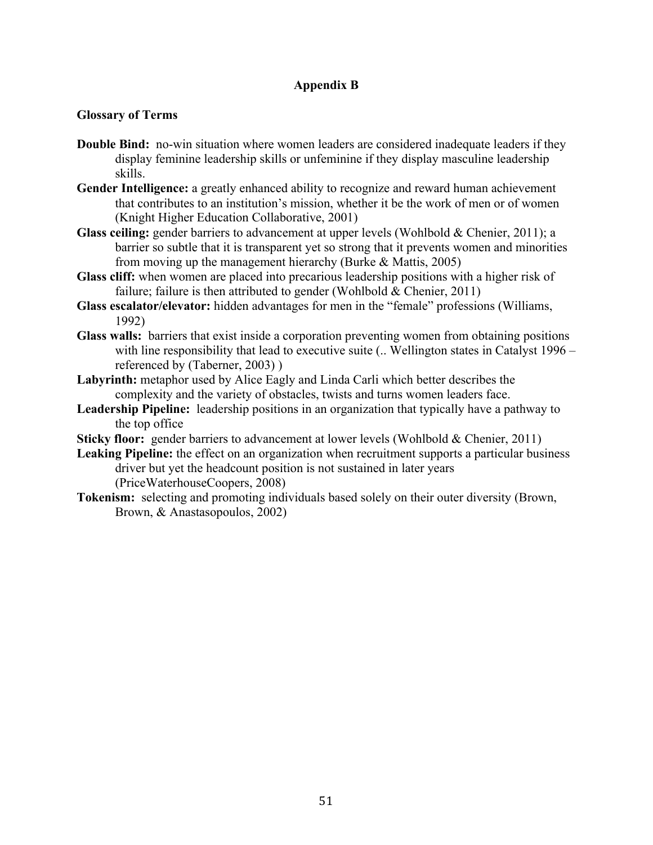### **Appendix B**

### **Glossary of Terms**

- **Double Bind:** no-win situation where women leaders are considered inadequate leaders if they display feminine leadership skills or unfeminine if they display masculine leadership skills.
- Gender Intelligence: a greatly enhanced ability to recognize and reward human achievement that contributes to an institution's mission, whether it be the work of men or of women (Knight Higher Education Collaborative, 2001)
- Glass ceiling: gender barriers to advancement at upper levels (Wohlbold & Chenier, 2011); a barrier so subtle that it is transparent yet so strong that it prevents women and minorities from moving up the management hierarchy (Burke & Mattis, 2005)
- **Glass cliff:** when women are placed into precarious leadership positions with a higher risk of failure; failure is then attributed to gender (Wohlbold  $&$  Chenier, 2011)
- **Glass escalator/elevator:** hidden advantages for men in the "female" professions (Williams, 1992)
- **Glass walls:** barriers that exist inside a corporation preventing women from obtaining positions with line responsibility that lead to executive suite (.. Wellington states in Catalyst 1996 – referenced by (Taberner, 2003) )
- **Labyrinth:** metaphor used by Alice Eagly and Linda Carli which better describes the complexity and the variety of obstacles, twists and turns women leaders face.
- **Leadership Pipeline:** leadership positions in an organization that typically have a pathway to the top office
- **Sticky floor:** gender barriers to advancement at lower levels (Wohlbold & Chenier, 2011)
- **Leaking Pipeline:** the effect on an organization when recruitment supports a particular business driver but yet the headcount position is not sustained in later years (PriceWaterhouseCoopers, 2008)
- **Tokenism:** selecting and promoting individuals based solely on their outer diversity (Brown, Brown, & Anastasopoulos, 2002)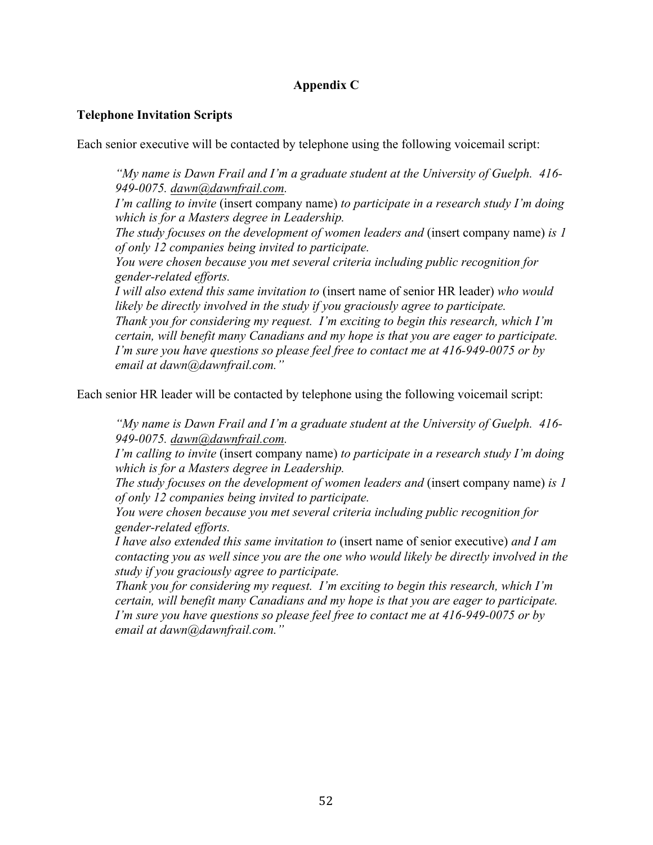### **Appendix C**

### **Telephone Invitation Scripts**

Each senior executive will be contacted by telephone using the following voicemail script:

*"My name is Dawn Frail and I'm a graduate student at the University of Guelph. 416- 949-0075. dawn@dawnfrail.com.* 

*I'm calling to invite* (insert company name) *to participate in a research study I'm doing which is for a Masters degree in Leadership.*

*The study focuses on the development of women leaders and* (insert company name) *is 1 of only 12 companies being invited to participate.*

*You were chosen because you met several criteria including public recognition for gender-related efforts.*

*I will also extend this same invitation to* (insert name of senior HR leader) *who would likely be directly involved in the study if you graciously agree to participate. Thank you for considering my request. I'm exciting to begin this research, which I'm certain, will benefit many Canadians and my hope is that you are eager to participate. I'm sure you have questions so please feel free to contact me at 416-949-0075 or by email at dawn@dawnfrail.com."* 

Each senior HR leader will be contacted by telephone using the following voicemail script:

*"My name is Dawn Frail and I'm a graduate student at the University of Guelph. 416- 949-0075. dawn@dawnfrail.com.* 

*I'm calling to invite* (insert company name) *to participate in a research study I'm doing which is for a Masters degree in Leadership.*

*The study focuses on the development of women leaders and (insert company name) is 1 of only 12 companies being invited to participate.*

*You were chosen because you met several criteria including public recognition for gender-related efforts.*

*I have also extended this same invitation to* (insert name of senior executive) *and I am contacting you as well since you are the one who would likely be directly involved in the study if you graciously agree to participate.*

*Thank you for considering my request. I'm exciting to begin this research, which I'm certain, will benefit many Canadians and my hope is that you are eager to participate. I'm sure you have questions so please feel free to contact me at 416-949-0075 or by email at dawn@dawnfrail.com."*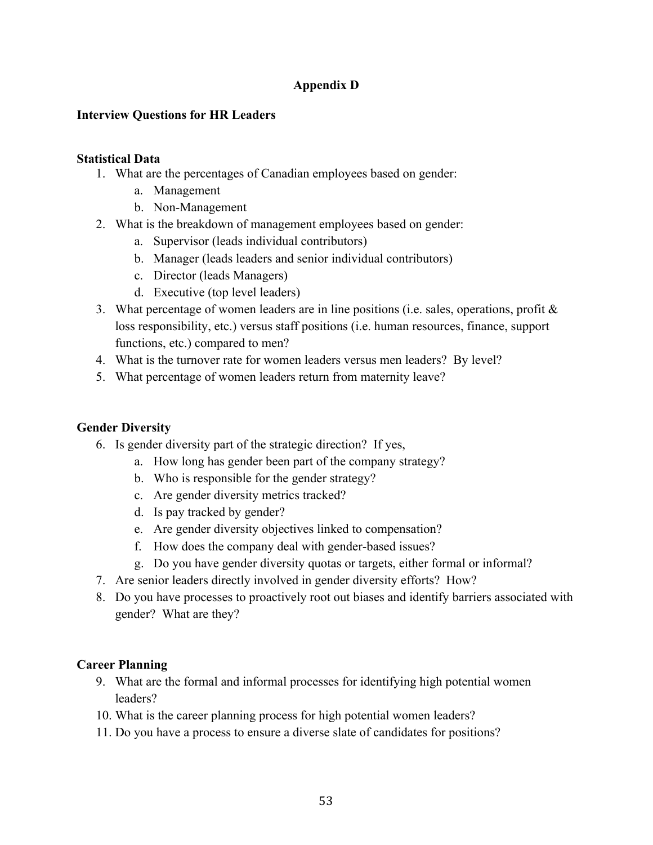### **Appendix D**

### **Interview Questions for HR Leaders**

### **Statistical Data**

- 1. What are the percentages of Canadian employees based on gender:
	- a. Management
	- b. Non-Management
- 2. What is the breakdown of management employees based on gender:
	- a. Supervisor (leads individual contributors)
	- b. Manager (leads leaders and senior individual contributors)
	- c. Director (leads Managers)
	- d. Executive (top level leaders)
- 3. What percentage of women leaders are in line positions (i.e. sales, operations, profit & loss responsibility, etc.) versus staff positions (i.e. human resources, finance, support functions, etc.) compared to men?
- 4. What is the turnover rate for women leaders versus men leaders? By level?
- 5. What percentage of women leaders return from maternity leave?

### **Gender Diversity**

- 6. Is gender diversity part of the strategic direction? If yes,
	- a. How long has gender been part of the company strategy?
	- b. Who is responsible for the gender strategy?
	- c. Are gender diversity metrics tracked?
	- d. Is pay tracked by gender?
	- e. Are gender diversity objectives linked to compensation?
	- f. How does the company deal with gender-based issues?
	- g. Do you have gender diversity quotas or targets, either formal or informal?
- 7. Are senior leaders directly involved in gender diversity efforts? How?
- 8. Do you have processes to proactively root out biases and identify barriers associated with gender? What are they?

### **Career Planning**

- 9. What are the formal and informal processes for identifying high potential women leaders?
- 10. What is the career planning process for high potential women leaders?
- 11. Do you have a process to ensure a diverse slate of candidates for positions?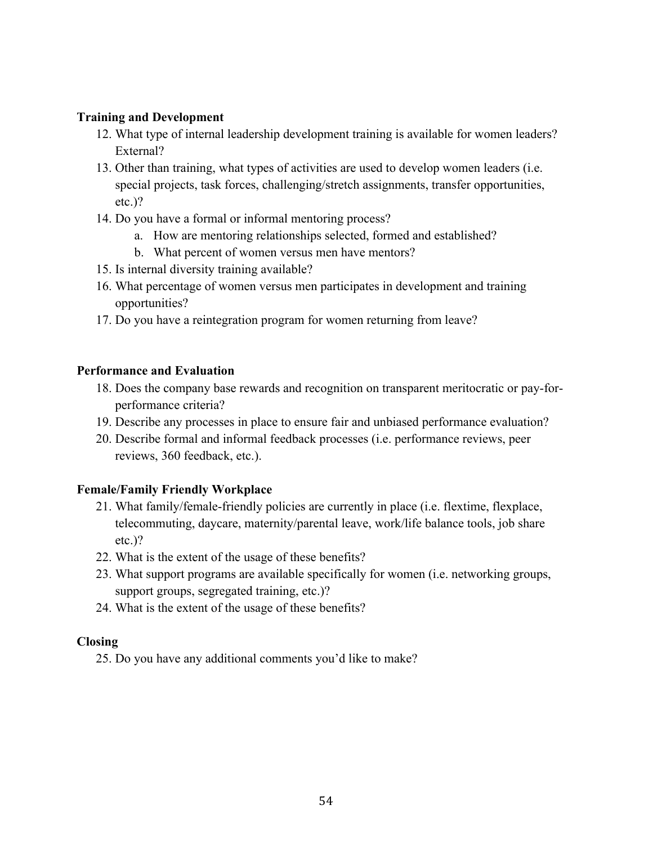### **Training and Development**

- 12. What type of internal leadership development training is available for women leaders? External?
- 13. Other than training, what types of activities are used to develop women leaders (i.e. special projects, task forces, challenging/stretch assignments, transfer opportunities, etc.)?
- 14. Do you have a formal or informal mentoring process?
	- a. How are mentoring relationships selected, formed and established?
	- b. What percent of women versus men have mentors?
- 15. Is internal diversity training available?
- 16. What percentage of women versus men participates in development and training opportunities?
- 17. Do you have a reintegration program for women returning from leave?

### **Performance and Evaluation**

- 18. Does the company base rewards and recognition on transparent meritocratic or pay-forperformance criteria?
- 19. Describe any processes in place to ensure fair and unbiased performance evaluation?
- 20. Describe formal and informal feedback processes (i.e. performance reviews, peer reviews, 360 feedback, etc.).

### **Female/Family Friendly Workplace**

- 21. What family/female-friendly policies are currently in place (i.e. flextime, flexplace, telecommuting, daycare, maternity/parental leave, work/life balance tools, job share etc.)?
- 22. What is the extent of the usage of these benefits?
- 23. What support programs are available specifically for women (i.e. networking groups, support groups, segregated training, etc.)?
- 24. What is the extent of the usage of these benefits?

### **Closing**

25. Do you have any additional comments you'd like to make?